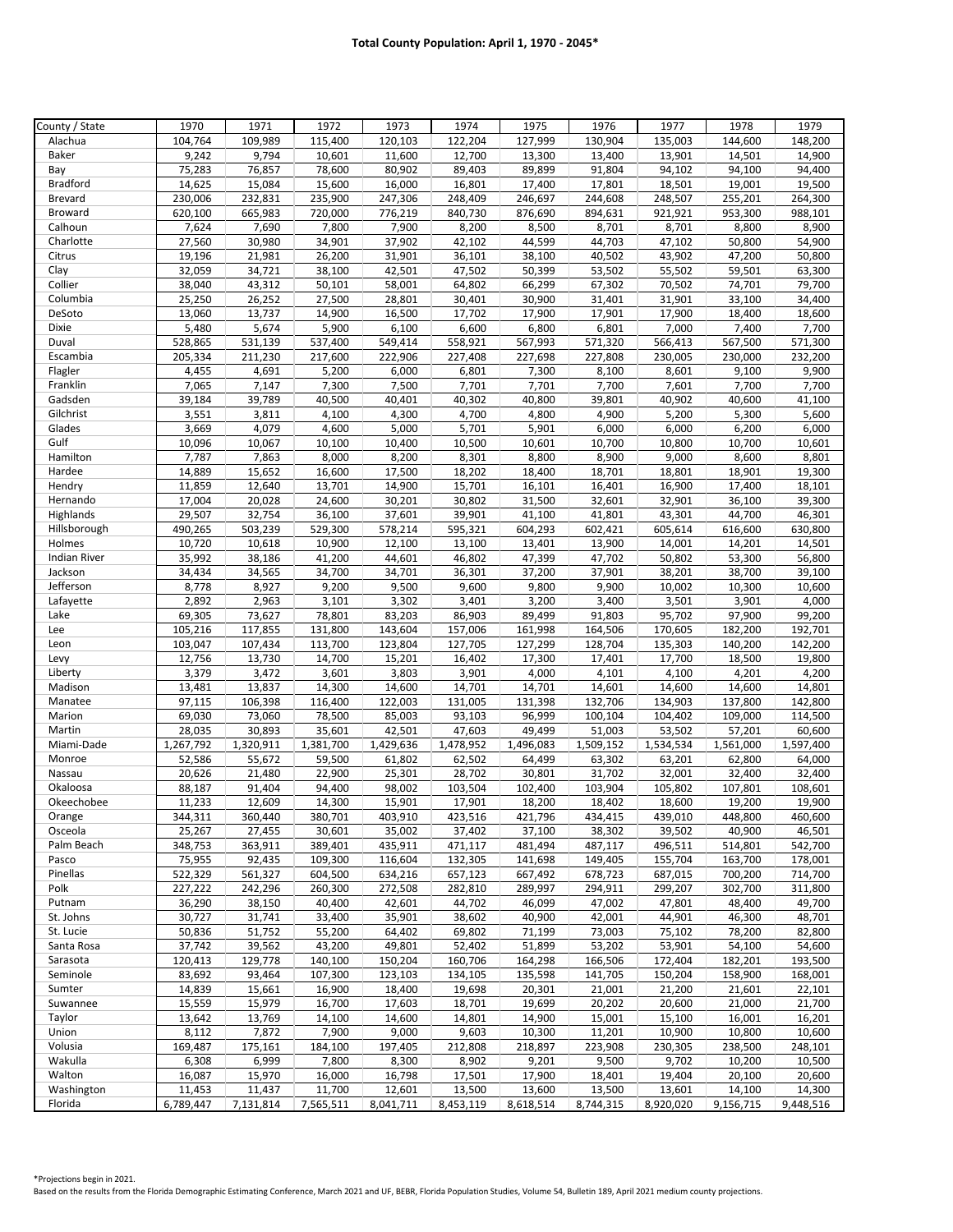| County / State      | 1970      | 1971      | 1972      | 1973      | 1974      | 1975      | 1976      | 1977      | 1978      | 1979      |
|---------------------|-----------|-----------|-----------|-----------|-----------|-----------|-----------|-----------|-----------|-----------|
| Alachua             | 104,764   | 109,989   | 115,400   | 120,103   | 122,204   | 127,999   | 130,904   | 135,003   | 144,600   | 148,200   |
| Baker               | 9,242     | 9,794     | 10,601    | 11,600    | 12,700    | 13,300    | 13,400    | 13,901    | 14,501    | 14,900    |
| Bay                 | 75,283    | 76,857    | 78,600    | 80,902    | 89,403    | 89,899    | 91,804    | 94,102    | 94,100    | 94,400    |
| <b>Bradford</b>     | 14,625    | 15,084    | 15,600    | 16,000    | 16,801    | 17,400    | 17,801    | 18,501    | 19,001    | 19,500    |
| <b>Brevard</b>      | 230,006   | 232,831   | 235,900   | 247,306   | 248,409   | 246,697   | 244,608   | 248,507   | 255,201   | 264,300   |
| Broward             | 620,100   | 665,983   | 720,000   | 776,219   | 840,730   | 876,690   | 894,631   | 921,921   | 953,300   | 988,101   |
| Calhoun             | 7,624     | 7,690     | 7,800     | 7,900     | 8,200     | 8,500     | 8,701     | 8,701     | 8,800     | 8,900     |
| Charlotte           | 27,560    | 30,980    | 34,901    | 37,902    | 42,102    | 44,599    | 44,703    | 47,102    | 50,800    | 54,900    |
| Citrus              | 19,196    | 21,981    | 26,200    | 31,901    | 36,101    | 38,100    | 40,502    | 43,902    | 47,200    | 50,800    |
| Clay                | 32,059    | 34,721    | 38,100    | 42,501    | 47,502    | 50,399    | 53,502    | 55,502    | 59,501    | 63,300    |
| Collier             | 38,040    | 43,312    | 50,101    | 58,001    | 64,802    | 66,299    | 67,302    | 70,502    | 74,701    | 79,700    |
| Columbia            | 25,250    | 26,252    | 27,500    | 28,801    | 30,401    | 30,900    | 31,401    | 31,901    | 33,100    | 34,400    |
| DeSoto              | 13,060    | 13,737    | 14,900    | 16,500    | 17,702    | 17,900    | 17,901    | 17,900    | 18,400    | 18,600    |
| Dixie               | 5,480     | 5,674     | 5,900     | 6,100     | 6,600     | 6,800     | 6,801     | 7,000     | 7,400     | 7,700     |
| Duval               | 528,865   | 531,139   | 537,400   | 549,414   | 558,921   | 567,993   | 571,320   | 566,413   | 567,500   | 571,300   |
| Escambia            | 205,334   | 211,230   | 217,600   | 222,906   | 227,408   | 227,698   | 227,808   | 230,005   | 230,000   | 232,200   |
| Flagler             | 4,455     | 4,691     | 5,200     | 6,000     | 6,801     | 7,300     | 8,100     | 8,601     | 9,100     | 9,900     |
| Franklin            | 7,065     | 7,147     | 7,300     | 7,500     | 7,701     | 7,701     | 7,700     | 7,601     | 7,700     | 7,700     |
| Gadsden             | 39,184    | 39,789    | 40,500    | 40,401    | 40,302    | 40,800    | 39,801    | 40,902    | 40,600    | 41,100    |
| Gilchrist           | 3,551     | 3,811     | 4,100     | 4,300     | 4,700     | 4,800     | 4,900     | 5,200     | 5,300     | 5,600     |
| Glades              | 3,669     | 4,079     | 4,600     | 5,000     | 5,701     | 5,901     | 6,000     | 6,000     | 6,200     | 6,000     |
| Gulf                | 10,096    | 10,067    | 10,100    | 10,400    | 10,500    | 10,601    | 10,700    | 10,800    | 10,700    | 10,601    |
| Hamilton            | 7,787     | 7,863     | 8,000     | 8,200     | 8,301     | 8,800     | 8,900     | 9,000     | 8,600     | 8,801     |
| Hardee              | 14,889    | 15,652    | 16,600    | 17,500    | 18,202    | 18,400    | 18,701    | 18,801    | 18,901    | 19,300    |
| Hendry              | 11,859    | 12,640    | 13,701    | 14,900    | 15,701    | 16,101    | 16,401    | 16,900    | 17,400    | 18,101    |
| Hernando            | 17,004    | 20,028    | 24,600    | 30,201    | 30,802    | 31,500    | 32,601    | 32,901    | 36,100    | 39,300    |
| Highlands           | 29,507    | 32,754    | 36,100    | 37,601    | 39,901    | 41.100    | 41,801    | 43,301    | 44,700    | 46,301    |
| Hillsborough        | 490,265   | 503,239   | 529,300   | 578,214   | 595,321   | 604,293   | 602,421   | 605,614   | 616,600   | 630,800   |
| Holmes              | 10,720    | 10,618    | 10,900    | 12,100    | 13,100    | 13,401    | 13,900    | 14,001    | 14,201    | 14,501    |
| <b>Indian River</b> | 35,992    | 38,186    | 41,200    | 44,601    | 46,802    | 47,399    | 47,702    | 50,802    | 53,300    | 56,800    |
| Jackson             | 34,434    | 34,565    | 34,700    | 34,701    | 36,301    | 37,200    | 37,901    | 38,201    | 38,700    | 39,100    |
| Jefferson           | 8,778     | 8,927     | 9,200     | 9,500     | 9,600     | 9,800     | 9,900     | 10,002    | 10,300    | 10,600    |
| Lafayette           | 2,892     | 2,963     | 3,101     | 3,302     | 3,401     | 3,200     | 3,400     | 3,501     | 3,901     | 4,000     |
| Lake                | 69,305    | 73,627    | 78,801    | 83,203    | 86,903    | 89,499    | 91,803    | 95,702    | 97,900    | 99,200    |
| Lee                 | 105,216   | 117,855   | 131,800   | 143,604   | 157,006   | 161,998   | 164,506   | 170,605   | 182,200   | 192,701   |
| Leon                | 103,047   | 107,434   | 113,700   | 123,804   | 127,705   | 127,299   | 128,704   | 135,303   | 140,200   | 142,200   |
| Levy                | 12,756    | 13,730    | 14,700    | 15,201    | 16,402    | 17,300    | 17,401    | 17,700    | 18,500    | 19,800    |
| Liberty             | 3,379     | 3,472     | 3,601     | 3,803     | 3,901     | 4,000     | 4,101     | 4,100     | 4,201     | 4,200     |
| Madison             | 13,481    | 13,837    | 14,300    | 14,600    | 14,701    | 14,701    | 14,601    | 14,600    | 14,600    | 14,801    |
| Manatee             | 97,115    | 106,398   | 116,400   | 122,003   | 131,005   | 131,398   | 132,706   | 134,903   | 137,800   | 142,800   |
| Marion              | 69,030    | 73,060    | 78,500    | 85,003    | 93,103    | 96,999    | 100,104   | 104,402   | 109,000   | 114,500   |
| Martin              | 28,035    | 30,893    | 35,601    | 42,501    | 47,603    | 49,499    | 51,003    | 53,502    | 57,201    | 60,600    |
| Miami-Dade          | 1,267,792 | 1,320,911 | 1,381,700 | 1,429,636 | 1,478,952 | 1,496,083 | 1,509,152 | 1,534,534 | 1,561,000 | 1,597,400 |
| Monroe              | 52,586    | 55,672    | 59,500    | 61,802    | 62,502    | 64,499    | 63,302    | 63,201    | 62,800    | 64,000    |
| Nassau              | 20,626    | 21,480    | 22,900    | 25,301    | 28,702    | 30,801    | 31,702    | 32,001    | 32,400    | 32,400    |
| Okaloosa            | 88,187    | 91,404    | 94,400    | 98,002    | 103,504   | 102,400   | 103,904   | 105,802   | 107,801   | 108,601   |
| Okeechobee          | 11,233    | 12,609    | 14,300    | 15,901    | 17,901    | 18,200    | 18,402    | 18,600    | 19,200    | 19,900    |
| Orange              | 344,311   | 360,440   | 380,701   | 403,910   | 423,516   | 421,796   | 434,415   | 439,010   | 448,800   | 460,600   |
| Osceola             | 25,267    | 27,455    | 30,601    | 35,002    | 37,402    | 37,100    | 38,302    | 39,502    | 40,900    | 46,501    |
| Palm Beach          | 348,753   | 363,911   | 389,401   | 435,911   | 471,117   | 481,494   | 487,117   | 496,511   | 514,801   | 542,700   |
| Pasco               | 75,955    | 92,435    | 109,300   | 116,604   | 132,305   | 141,698   | 149,405   | 155,704   | 163,700   | 178,001   |
| Pinellas            | 522,329   | 561,327   | 604,500   | 634,216   | 657,123   | 667,492   | 678,723   | 687,015   | 700,200   | 714,700   |
| Polk                | 227,222   | 242,296   | 260,300   | 272,508   | 282,810   | 289,997   | 294,911   | 299,207   | 302,700   | 311,800   |
| Putnam              | 36,290    | 38,150    | 40,400    | 42,601    | 44,702    | 46,099    | 47,002    | 47,801    | 48,400    | 49,700    |
| St. Johns           | 30,727    | 31,741    | 33,400    | 35,901    | 38,602    | 40,900    | 42,001    | 44,901    | 46,300    | 48,701    |
| St. Lucie           | 50,836    | 51,752    | 55,200    | 64,402    | 69,802    | 71,199    | 73,003    | 75,102    | 78,200    | 82,800    |
| Santa Rosa          | 37,742    | 39,562    | 43,200    | 49,801    | 52,402    | 51,899    | 53,202    | 53,901    | 54,100    | 54,600    |
| Sarasota            | 120,413   | 129,778   | 140,100   | 150,204   | 160,706   | 164,298   | 166,506   | 172,404   | 182,201   | 193,500   |
| Seminole            | 83,692    | 93,464    | 107,300   | 123,103   | 134,105   | 135,598   | 141,705   | 150,204   | 158,900   | 168,001   |
| Sumter              | 14,839    | 15,661    | 16,900    | 18,400    | 19,698    | 20,301    | 21,001    | 21,200    | 21,601    | 22,101    |
| Suwannee            | 15,559    | 15,979    | 16,700    | 17,603    | 18,701    | 19,699    | 20,202    | 20,600    | 21,000    | 21,700    |
| Taylor              | 13,642    | 13,769    | 14,100    | 14,600    | 14,801    | 14,900    | 15,001    | 15,100    | 16,001    | 16,201    |
| Union               | 8,112     | 7,872     | 7,900     | 9,000     | 9,603     | 10,300    | 11,201    | 10,900    | 10,800    | 10,600    |
| Volusia             | 169,487   | 175,161   | 184,100   | 197,405   | 212,808   | 218,897   | 223,908   | 230,305   | 238,500   | 248,101   |
| Wakulla             | 6,308     | 6,999     | 7,800     | 8,300     | 8,902     | 9,201     | 9,500     | 9,702     | 10,200    | 10,500    |
| Walton              | 16,087    | 15,970    | 16,000    | 16,798    | 17,501    | 17,900    | 18,401    | 19,404    | 20,100    | 20,600    |
| Washington          | 11,453    | 11,437    | 11,700    | 12,601    | 13,500    | 13,600    | 13,500    | 13,601    | 14,100    | 14,300    |
| Florida             | 6,789,447 | 7,131,814 | 7,565,511 | 8,041,711 | 8,453,119 | 8,618,514 | 8,744,315 | 8,920,020 | 9,156,715 | 9,448,516 |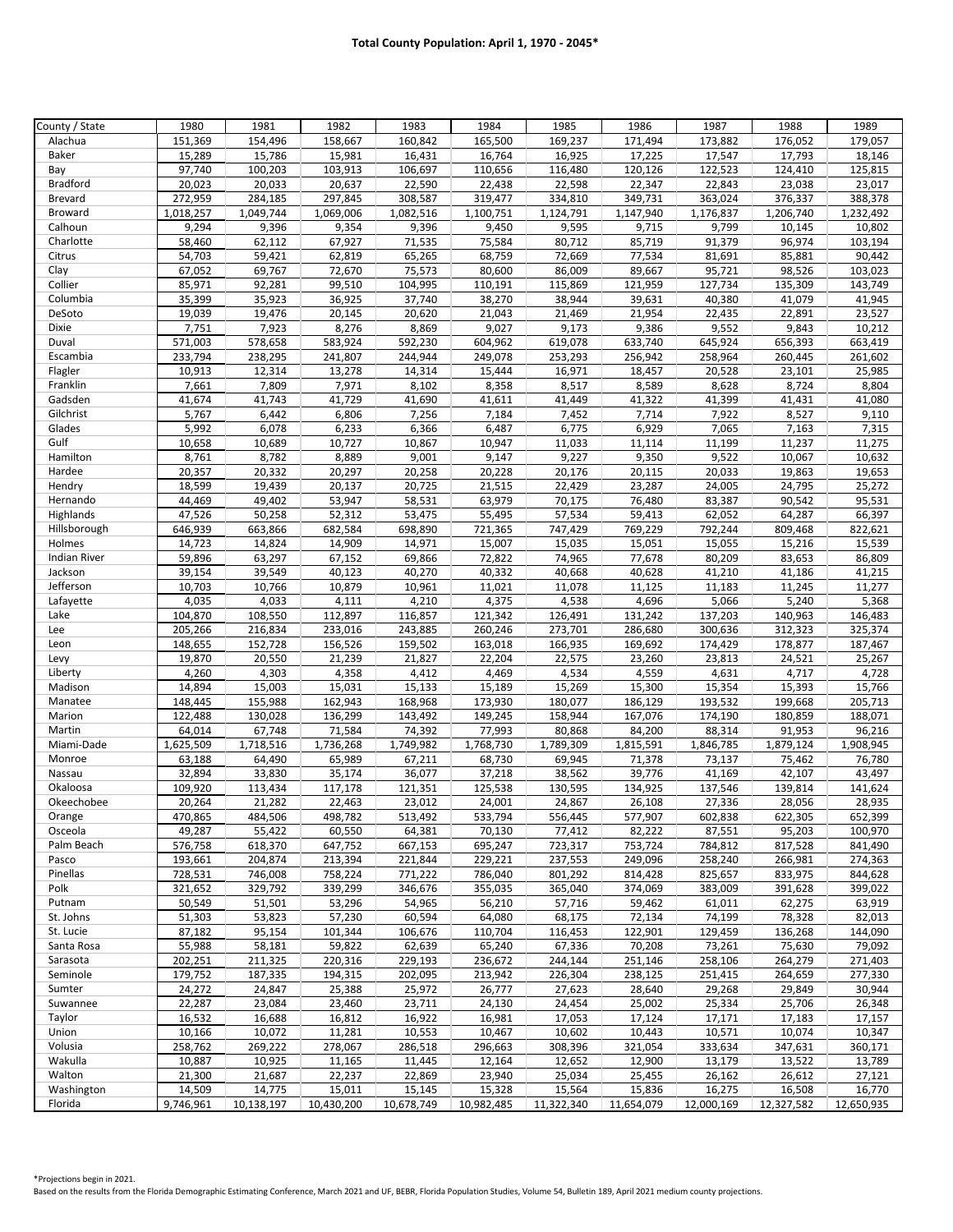| County / State      | 1980              | 1981              | 1982              | 1983              | 1984              | 1985             | 1986              | 1987       | 1988              | 1989                    |
|---------------------|-------------------|-------------------|-------------------|-------------------|-------------------|------------------|-------------------|------------|-------------------|-------------------------|
| Alachua             | 151,369           | 154,496           | 158,667           | 160,842           | 165,500           | 169,237          | 171,494           | 173,882    | 176,052           | 179,057                 |
| Baker               | 15,289            | 15,786            | 15,981            | 16,431            | 16,764            | 16,925           | 17,225            | 17,547     | 17,793            | 18,146                  |
| Bay                 | 97,740            | 100,203           | 103,913           | 106,697           | 110,656           | 116,480          | 120,126           | 122,523    | 124,410           | 125,815                 |
| <b>Bradford</b>     | 20,023            | 20,033            | 20,637            | 22,590            | 22,438            | 22,598           | 22,347            | 22,843     | 23,038            | 23,017                  |
| Brevard             | 272,959           | 284,185           | 297,845           | 308,587           | 319,477           | 334,810          | 349,731           | 363,024    | 376,337           | 388,378                 |
| Broward             | 1,018,257         | 1,049,744         | 1,069,006         | 1,082,516         | 1,100,751         | 1,124,791        | 1,147,940         | 1,176,837  | 1,206,740         | $\overline{1,}$ 232,492 |
| Calhoun             | 9,294             | 9,396             | 9,354             | 9,396             | 9,450             | 9,595            | 9,715             | 9,799      | 10,145            | 10,802                  |
| Charlotte           | 58,460            | 62,112            | 67,927            | 71,535            | 75,584            | 80,712           | 85,719            | 91,379     | 96,974            | 103,194                 |
| Citrus              | 54,703            | 59,421            | 62,819            | 65,265            | 68,759            | 72,669           | 77,534            | 81,691     | 85,881            | 90,442                  |
| Clay                | 67,052            | 69,767            | 72,670            | 75,573            | 80,600            | 86,009           | 89,667            | 95,721     | 98,526            | 103,023                 |
| Collier             | 85,971            | 92,281            | 99,510            | 104,995           | 110,191           | 115,869          | 121,959           | 127,734    | 135,309           | 143,749                 |
| Columbia            | 35,399            | 35,923            | 36,925            | 37,740            | 38,270            | 38,944           | 39,631            | 40,380     | 41,079            | 41,945                  |
| DeSoto              | 19,039            | 19,476            | 20,145            | 20,620            | 21,043            | 21,469           | 21,954            | 22,435     | 22,891            | 23,527                  |
| Dixie               | 7,751             | 7,923             | 8,276             | 8,869             | 9,027             | 9,173            | 9,386             | 9,552      | 9,843             | 10,212                  |
| Duval               | 571,003           | 578,658           | 583,924           | 592,230           | 604,962           | 619,078          | 633,740           | 645,924    | 656,393           | 663,419                 |
| Escambia            | 233,794           | 238,295           | 241,807           | 244,944           | 249,078           | 253,293          | 256,942           | 258,964    | 260,445           | 261,602                 |
| Flagler             | 10,913            | 12,314            | 13,278            | 14,314            | 15,444            | 16,971           | 18,457            | 20,528     | 23,101            | 25,985                  |
| Franklin            | 7,661             | 7,809             | 7,971             | 8,102             | 8,358             | 8,517            | 8,589             | 8,628      | 8,724             | 8,804                   |
| Gadsden             | 41,674            | 41,743            | 41,729            | 41,690            | 41,611            | 41,449           | 41,322            | 41,399     | 41,431            | 41,080                  |
| Gilchrist           | 5,767             | 6,442             | 6,806             | 7,256             | 7,184             | 7,452            | 7,714             | 7,922      | 8,527             | 9,110                   |
| Glades              | 5,992             | 6,078             | 6,233             | 6,366             | 6,487             | 6,775            | 6,929             | 7,065      | 7,163             | 7,315                   |
| Gulf                | 10,658            | 10,689            | 10,727            | 10,867            | 10,947            | 11,033           | 11,114            | 11,199     | 11,237            | 11,275                  |
| Hamilton            | 8,761             | 8,782             | 8,889             | 9,001             | 9,147             | 9,227            | 9,350             | 9,522      | 10,067            | 10,632                  |
| Hardee              | 20,357            | 20,332            | 20,297            | 20,258            | 20,228            | 20,176           | 20,115            | 20,033     | 19,863            | 19,653                  |
| Hendry              | 18,599            | 19,439            | 20,137            | 20,725            | 21,515            | 22,429           | 23,287            | 24,005     | 24,795            | 25,272                  |
| Hernando            | 44,469            | 49,402            | 53,947            | 58,531            | 63,979            | 70,175           | 76,480            | 83,387     | 90,542            | 95,531                  |
| Highlands           | 47,526            | 50,258            | 52,312            | 53,475            | 55,495            | 57,534           | 59,413            | 62,052     | 64,287            | 66,397                  |
| Hillsborough        | 646,939           | 663,866           | 682,584           | 698,890           | 721,365           | 747,429          | 769,229           | 792,244    | 809,468           | 822,621                 |
| Holmes              | 14,723            | 14,824            | 14,909            | 14,971            | 15,007            | 15,035           | 15,051            | 15,055     | 15,216            | 15,539                  |
| <b>Indian River</b> | 59,896            | 63,297            | 67,152            | 69,866            | 72,822            | 74,965           | 77,678            | 80,209     | 83,653            | 86,809                  |
| Jackson             | 39,154            | 39,549            | 40,123            | 40,270            | 40,332            | 40,668           | 40,628            | 41,210     | 41,186            | 41,215                  |
| Jefferson           | 10,703            | 10,766            | 10,879            | 10,961            | 11,021            | 11,078           | 11,125            | 11,183     | 11,245            | 11,277                  |
| Lafayette           | 4,035             | 4,033             | 4,111             | 4,210             | 4,375             | 4,538            | 4,696             | 5,066      | 5,240             | 5,368                   |
| Lake                | 104,870           | 108,550           | 112,897           | 116,857           | 121,342           | 126,491          | 131,242           | 137,203    | 140,963           | 146,483                 |
| Lee                 | 205,266           | 216,834           | 233,016           | 243,885           | 260,246           | 273,701          | 286,680           | 300,636    | 312,323           | 325,374                 |
| Leon                | 148,655           | 152,728           | 156,526           | 159,502           | 163,018           | 166,935          | 169,692           | 174,429    | 178,877           | 187,467                 |
| Levy                | 19,870            | 20,550            | 21,239            | 21,827            | 22,204            | 22,575           | 23,260            | 23,813     | 24,521            | 25,267                  |
| Liberty             | 4,260             | 4,303             | 4,358             | 4,412             | 4,469             | 4,534            | 4,559             | 4,631      | 4,717             | 4,728                   |
| Madison             | 14,894            | 15,003            | 15,031            | 15,133            | 15,189            | 15,269           | 15,300            | 15,354     | 15,393            | 15,766                  |
| Manatee             | 148,445           | 155,988           | 162,943           | 168,968           | 173,930           | 180,077          | 186,129           | 193,532    | 199,668           | 205,713                 |
| Marion              | 122,488           | 130,028           | 136,299           | 143,492           | 149,245           | 158,944          | 167,076           | 174,190    | 180,859           | 188,071                 |
| Martin              | 64,014            | 67,748            | 71,584            | 74,392            | 77,993            | 80,868           | 84,200            | 88,314     | 91,953            | 96,216                  |
| Miami-Dade          | 1,625,509         | 1,718,516         | 1,736,268         | 1,749,982         | 1,768,730         | 1,789,309        | 1,815,591         | 1,846,785  | 1,879,124         | 1,908,945               |
| Monroe              | 63,188            | 64,490            | 65,989            | 67,211            | 68,730            | 69,945           | 71,378            | 73,137     | 75,462            | 76,780                  |
| Nassau              | 32,894            | 33,830            | 35,174            | 36,077            | 37,218            | 38,562           | 39,776            | 41,169     | 42,107            | 43,497                  |
| Okaloosa            | 109,920           | 113,434           | 117,178           | 121,351           | 125,538           | 130,595          | 134,925           | 137,546    | 139,814           | 141,624                 |
| Okeechobee          |                   |                   |                   | 23,012            |                   | 24,867           |                   | 27,336     |                   | 28,935                  |
|                     | 20,264<br>470,865 | 21,282<br>484,506 | 22,463<br>498,782 | 513,492           | 24,001<br>533,794 | 556,445          | 26,108<br>577,907 | 602,838    | 28,056<br>622,305 | 652,399                 |
| Orange<br>Osceola   | 49,287            | 55,422            | 60,550            | 64,381            | 70,130            | 77,412           | 82,222            | 87,551     | 95,203            | 100,970                 |
| Palm Beach          | 576,758           | 618,370           | 647,752           | 667,153           | 695,247           | 723,317          | 753,724           | 784,812    | 817,528           | 841,490                 |
| Pasco               | 193,661           | 204,874           | 213,394           | 221,844           | 229,221           | 237,553          | 249,096           | 258,240    | 266,981           | 274,363                 |
| Pinellas            | 728,531           | 746,008           | 758,224           | 771,222           | 786,040           | 801,292          | 814,428           | 825,657    | 833,975           | 844,628                 |
| Polk                | 321,652           | 329,792           | 339,299           | 346,676           | 355,035           | 365,040          | 374,069           | 383,009    | 391,628           | 399,022                 |
| Putnam              | 50,549            | 51,501            | 53,296            | 54,965            | 56,210            | 57,716           | 59,462            | 61,011     | 62,275            | 63,919                  |
| St. Johns           | 51,303            | 53,823            | 57,230            | 60,594            | 64,080            | 68,175           | 72,134            | 74,199     | 78,328            | 82,013                  |
| St. Lucie           | 87,182            | 95,154            | 101,344           | 106,676           | 110,704           | 116,453          | 122,901           | 129,459    | 136,268           | 144,090                 |
| Santa Rosa          | 55,988            | 58,181            | 59,822            | 62,639            | 65,240            | 67,336           | 70,208            | 73,261     | 75,630            | 79,092                  |
| Sarasota            | 202,251           | 211,325           | 220,316           | 229,193           | 236,672           | 244,144          | 251,146           | 258,106    | 264,279           | 271,403                 |
| Seminole            | 179,752           | 187,335           | 194,315           | 202,095           | 213,942           | 226,304          | 238,125           | 251,415    | 264,659           | 277,330                 |
| Sumter              | 24,272            | 24,847            | 25,388            | 25,972            | 26,777            | 27,623           | 28,640            | 29,268     | 29,849            | 30,944                  |
|                     | 22,287            |                   |                   | 23,711            |                   | 24,454           |                   | 25,334     | 25,706            |                         |
| Suwannee            |                   | 23,084            | 23,460            |                   | 24,130            |                  | 25,002            |            |                   | 26,348                  |
| Taylor<br>Union     | 16,532<br>10,166  | 16,688<br>10,072  | 16,812            | 16,922<br>10,553  | 16,981<br>10,467  | 17,053<br>10,602 | 17,124<br>10,443  | 17,171     | 17,183<br>10,074  | 17,157<br>10,347        |
| Volusia             |                   |                   | 11,281            |                   |                   |                  |                   | 10,571     |                   |                         |
| Wakulla             | 258,762           | 269,222           | 278,067           | 286,518<br>11,445 | 296,663           | 308,396          | 321,054           | 333,634    | 347,631           | 360,171                 |
|                     | 10,887            | 10,925            | 11,165            | 22,869            | 12,164<br>23,940  | 12,652           | 12,900            | 13,179     | 13,522            | 13,789                  |
| Walton              | 21,300            | 21,687            | 22,237            |                   |                   | 25,034           | 25,455            | 26,162     | 26,612            | 27,121                  |
| Washington          | 14,509            | 14,775            | 15,011            | 15,145            | 15,328            | 15,564           | 15,836            | 16,275     | 16,508            | 16,770                  |
| Florida             | 9,746,961         | 10,138,197        | 10,430,200        | 10,678,749        | 10,982,485        | 11,322,340       | 11,654,079        | 12,000,169 | 12,327,582        | 12,650,935              |

Based on the results from the Florida Demographic Estimating Conference, March 2021 and UF, BEBR, Florida Population Studies, Volume 54, Bulletin 189, April 2021 medium county projections.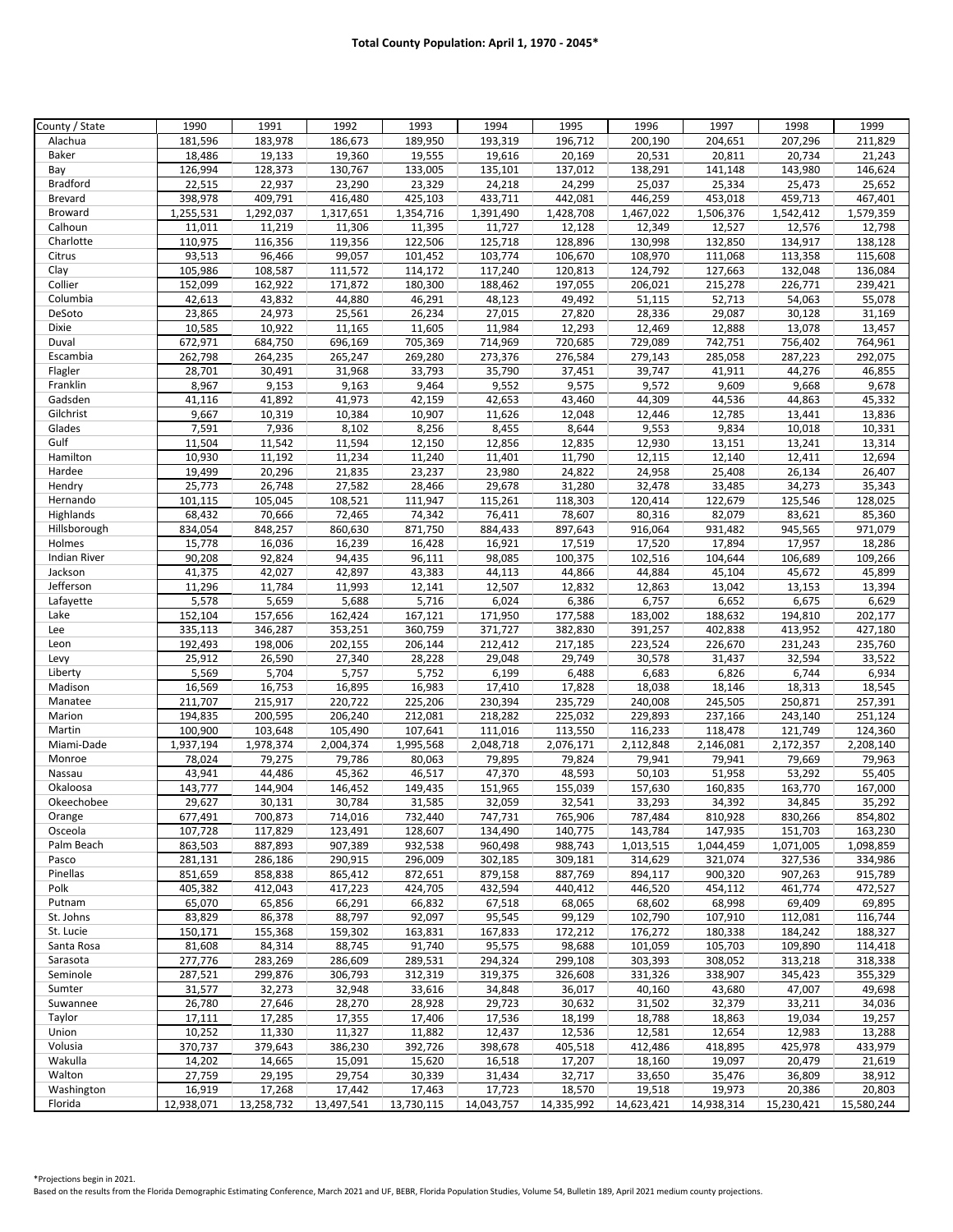| County / State      | 1990               | 1991               | 1992               | 1993               | 1994               | 1995               | 1996               | 1997                 | 1998               | 1999               |
|---------------------|--------------------|--------------------|--------------------|--------------------|--------------------|--------------------|--------------------|----------------------|--------------------|--------------------|
| Alachua             | 181,596            | 183,978            | 186,673            | 189,950            | 193,319            | 196,712            | 200,190            | 204,651              | 207,296            | 211,829            |
| Baker               | 18,486             | 19,133             | 19,360             | 19,555             | 19,616             | 20,169             | 20,531             | 20,811               | 20,734             | 21,243             |
| Bay                 | 126,994            | 128,373            | 130,767            | 133,005            | 135,101            | 137,012            | 138,291            | 141,148              | 143,980            | 146,624            |
| <b>Bradford</b>     | 22,515             | 22,937             | 23,290             | 23,329             | 24,218             | 24,299             | 25,037             | 25,334               | 25,473             | 25,652             |
| <b>Brevard</b>      | 398,978            | 409,791            | 416,480            | 425,103            | 433,711            | 442,081            | 446,259            | 453,018              | 459,713            | 467,401            |
| <b>Broward</b>      | 1,255,531          | 1,292,037          | 1,317,651          | 1,354,716          | 1,391,490          | 1,428,708          | 1,467,022          | 1,506,376            | 1,542,412          | 1,579,359          |
| Calhoun             | 11,011             | 11,219             | 11,306             | 11,395             | 11,727             | 12,128             | 12,349             | 12,527               | 12,576             | 12,798             |
| Charlotte           | 110,975            | 116,356            | 119,356            | 122,506            | 125,718            | 128,896            | 130,998            | 132,850              | 134,917            | 138,128            |
| Citrus              | 93,513             | 96,466             | 99,057             | 101,452            | 103,774            | 106,670            | 108,970            | 111,068              | 113,358            | 115,608            |
| Clay                | 105,986            | 108,587            | 111,572            | 114,172            | 117,240            | 120,813            | 124,792            | 127,663              | 132,048            | 136,084            |
| Collier             | 152,099            | 162,922            | 171,872            | 180,300            | 188,462            | 197,055            | 206,021            | 215,278              | 226,771            | 239,421            |
| Columbia            | 42,613             | 43,832             | 44,880             | 46,291             | 48,123             | 49,492             | 51,115             | 52,713               | 54,063             | 55,078             |
| DeSoto              | 23,865             | 24,973             | 25,561             | 26,234             | 27,015             | 27,820             | 28,336             | 29,087               | 30,128             | 31,169             |
| Dixie               | 10,585             | 10,922             | 11,165             | 11,605             | 11,984             | 12,293             | 12,469             | 12,888               | 13,078             | 13,457             |
| Duval               | 672,971            | 684,750            | 696,169            | 705,369            | 714,969            | 720,685            | 729,089            | 742,751              | 756,402            | 764,961            |
| Escambia            | 262,798            | 264,235            | 265,247            | 269,280            | 273,376            | 276,584            | 279,143            | 285,058              | 287,223            | 292,075            |
| Flagler             | 28,701             | 30,491             | 31,968             | 33,793             | 35,790             | 37,451             | 39,747             | 41,911               | 44,276             | 46,855             |
| Franklin            | 8,967              | 9,153              | 9,163              | 9,464              | 9,552              | 9,575              | 9,572              | 9,609                | 9,668              | 9,678              |
| Gadsden             | 41,116             | 41,892             | 41,973             | 42,159             | 42,653             | 43,460             | 44,309             | 44,536               | 44,863             | 45,332             |
| Gilchrist           | 9,667              | 10,319             | 10,384             | 10,907             | 11,626             | 12,048             | 12,446             | 12,785               | 13,441             | 13,836             |
| Glades              | 7,591              | 7,936              | 8,102              | 8,256              | 8,455              | 8,644              | 9,553              | 9,834                | 10,018             | 10,331             |
| Gulf                | 11,504             | 11,542             | 11,594             | 12,150             | 12,856             | 12,835             | 12,930             | 13,151               | 13,241             | 13,314             |
| Hamilton            | 10,930             | 11,192             | 11,234             | 11,240             | 11,401             | 11,790             | 12,115             | 12,140               | 12,411             | 12,694             |
| Hardee              | 19,499             | 20,296             | 21,835             | 23,237             | 23,980             | 24,822             | 24,958             | 25,408               | 26,134             | 26,407             |
| Hendry              | 25,773             | 26,748             | 27,582             | 28,466             | 29,678             | 31,280             | 32,478             | 33,485               | 34,273             | 35,343             |
| Hernando            | 101,115            | 105,045            | 108,521            | 111,947            | 115,261            | 118,303            | 120,414            | 122,679              | 125,546            | 128,025            |
| Highlands           | 68,432             | 70,666             | 72,465             | 74,342             | 76,411             | 78,607             | 80,316             | 82,079               | 83,621             | 85,360             |
| Hillsborough        | 834,054            | 848,257            | 860,630            | 871,750            | 884,433            | 897,643            | 916,064            | 931,482              | 945,565            | 971,079            |
| Holmes              | 15,778             | 16,036             | 16,239             | 16,428             | 16,921             | 17,519             | 17,520             | 17,894               | 17,957             | 18,286             |
| <b>Indian River</b> | 90,208             | 92,824             | 94,435             | 96,111             | 98,085             | 100,375            | 102,516            | 104,644              | 106,689            | 109,266            |
| Jackson             | 41,375             | 42,027             | 42,897             | 43,383             | 44,113             | 44,866             | 44,884             | 45,104               | 45,672             | 45,899             |
| Jefferson           | 11,296             | 11,784             | 11,993             | 12,141             | 12,507             | 12,832             | 12,863             | 13,042               | 13,153             | 13,394             |
| Lafayette           | 5,578              | 5,659              | 5,688              | 5,716              | 6,024              | 6,386              | 6,757              | 6,652                | 6,675              | 6,629              |
| Lake                | 152,104            | 157,656            | 162,424            | 167,121            | 171,950            | 177,588            | 183,002            | 188,632              | 194,810            | 202,177            |
| Lee                 | 335,113            | 346,287            | 353,251            | 360,759            | 371,727            | 382,830            | 391,257            | 402,838              | 413,952            | 427,180            |
| Leon                | 192,493            | 198,006            | 202,155            | 206,144            | 212,412            | 217,185            | 223,524            | 226,670              | 231,243            | 235,760            |
|                     | 25,912             | 26,590             | 27,340             | 28,228             | 29,048             | 29,749             | 30,578             | 31,437               | 32,594             | 33,522             |
| Levy                | 5,569              | 5,704              | 5,757              | 5,752              | 6,199              | 6,488              | 6,683              | 6,826                | 6,744              | 6,934              |
| Liberty<br>Madison  | 16,569             | 16,753             | 16,895             | 16,983             | 17,410             | 17,828             | 18,038             | 18,146               | 18,313             | 18,545             |
| Manatee             | 211,707            | 215,917            | 220,722            | 225,206            | 230,394            | 235,729            | 240,008            | 245,505              | 250,871            | 257,391            |
| Marion              | 194,835            | 200,595            | 206,240            | 212,081            | 218,282            | 225,032            | 229,893            | 237,166              | 243,140            | 251,124            |
| Martin              | 100,900            | 103,648            | 105,490            | 107,641            | 111,016            | 113,550            | 116,233            | 118,478              | 121,749            | 124,360            |
| Miami-Dade          | 1,937,194          | 1,978,374          | 2,004,374          | 1,995,568          | 2,048,718          | 2,076,171          | 2,112,848          | 2,146,081            | 2,172,357          | 2,208,140          |
| Monroe              | 78,024             | 79,275             | 79,786             | 80,063             | 79,895             | 79,824             | 79,941             | 79,941               | 79,669             | 79,963             |
|                     | 43,941             | 44,486             | 45,362             | 46,517             | 47,370             | 48,593             | 50,103             | 51,958               |                    | 55,405             |
| Nassau<br>Okaloosa  |                    | 144,904            |                    |                    | 151,965            |                    | 157,630            |                      | 53,292<br>163,770  | 167,000            |
|                     | 143,777            |                    | 146,452            | 149,435            |                    | 155,039            |                    | 160,835              |                    |                    |
| Okeechobee          | 29,627<br>677,491  | 30,131<br>700,873  | 30,784<br>714,016  | 31,585<br>732,440  | 32,059<br>747,731  | 32,541<br>765,906  | 33,293<br>787,484  | 34,392<br>810,928    | 34,845<br>830,266  | 35,292<br>854,802  |
| Orange              | 107,728            | 117,829            |                    |                    |                    |                    |                    | 147,935              |                    | 163,230            |
| Osceola             |                    |                    | 123,491            | 128,607            | 134,490            | 140,775            | 143,784            |                      | 151,703            |                    |
| Palm Beach          | 863,503<br>281,131 | 887,893            | 907,389<br>290,915 | 932,538<br>296,009 | 960,498<br>302,185 | 988,743<br>309,181 | 1,013,515          | 1,044,459<br>321,074 | 1,071,005          | 1,098,859          |
| Pasco<br>Pinellas   | 851,659            | 286,186<br>858,838 | 865,412            | 872,651            | 879,158            | 887,769            | 314,629<br>894,117 | 900,320              | 327,536<br>907,263 | 334,986<br>915,789 |
|                     |                    |                    |                    |                    |                    |                    |                    |                      |                    |                    |
| Polk                | 405,382            | 412,043            | 417,223            | 424,705            | 432,594            | 440,412            | 446,520            | 454,112              | 461,774            | 472,527            |
| Putnam              | 65,070             | 65,856             | 66,291             | 66,832             | 67,518             | 68,065             | 68,602             | 68,998               | 69,409             | 69,895             |
| St. Johns           | 83,829             | 86,378             | 88,797             | 92,097             | 95,545             | 99,129             | 102,790            | 107,910              | 112,081            | 116,744            |
| St. Lucie           | 150,171            | 155,368            | 159,302            | 163,831            | 167,833            | 172,212            | 176,272            | 180,338              | 184,242            | 188,327            |
| Santa Rosa          | 81,608             | 84,314             | 88,745             | 91,740             | 95,575             | 98,688             | 101,059            | 105,703              | 109,890            | 114,418            |
| Sarasota            | 277,776            | 283,269            | 286,609            | 289,531            | 294,324            | 299,108            | 303,393            | 308,052              | 313,218            | 318,338            |
| Seminole            | 287,521            | 299,876            | 306,793            | 312,319            | 319,375            | 326,608            | 331,326            | 338,907              | 345,423            | 355,329            |
| Sumter              | 31,577             | 32,273             | 32,948             | 33,616             | 34,848             | 36,017             | 40,160             | 43,680               | 47,007             | 49,698             |
| Suwannee            | 26,780             | 27,646             | 28,270             | 28,928             | 29,723             | 30,632             | 31,502             | 32,379               | 33,211             | 34,036             |
| Taylor              | 17,111             | 17,285             | 17,355             | 17,406             | 17,536             | 18,199             | 18,788             | 18,863               | 19,034             | 19,257             |
| Union               | 10,252             | 11,330             | 11,327             | 11,882             | 12,437             | 12,536             | 12,581             | 12,654               | 12,983             | 13,288             |
| Volusia             | 370,737            | 379,643            | 386,230            | 392,726            | 398,678            | 405,518            | 412,486            | 418,895              | 425,978            | 433,979            |
| Wakulla             | 14,202             | 14,665             | 15,091             | 15,620             | 16,518             | 17,207             | 18,160             | 19,097               | 20,479             | 21,619             |
| Walton              | 27,759             | 29,195             | 29,754             | 30,339             | 31,434             | 32,717             | 33,650             | 35,476               | 36,809             | 38,912             |
| Washington          | 16,919             | 17,268             | 17,442             | 17,463             | 17,723             | 18,570             | 19,518             | 19,973               | 20,386             | 20,803             |
| Florida             | 12,938,071         | 13,258,732         | 13,497,541         | 13,730,115         | 14,043,757         | 14,335,992         | 14,623,421         | 14,938,314           | 15,230,421         | 15,580,244         |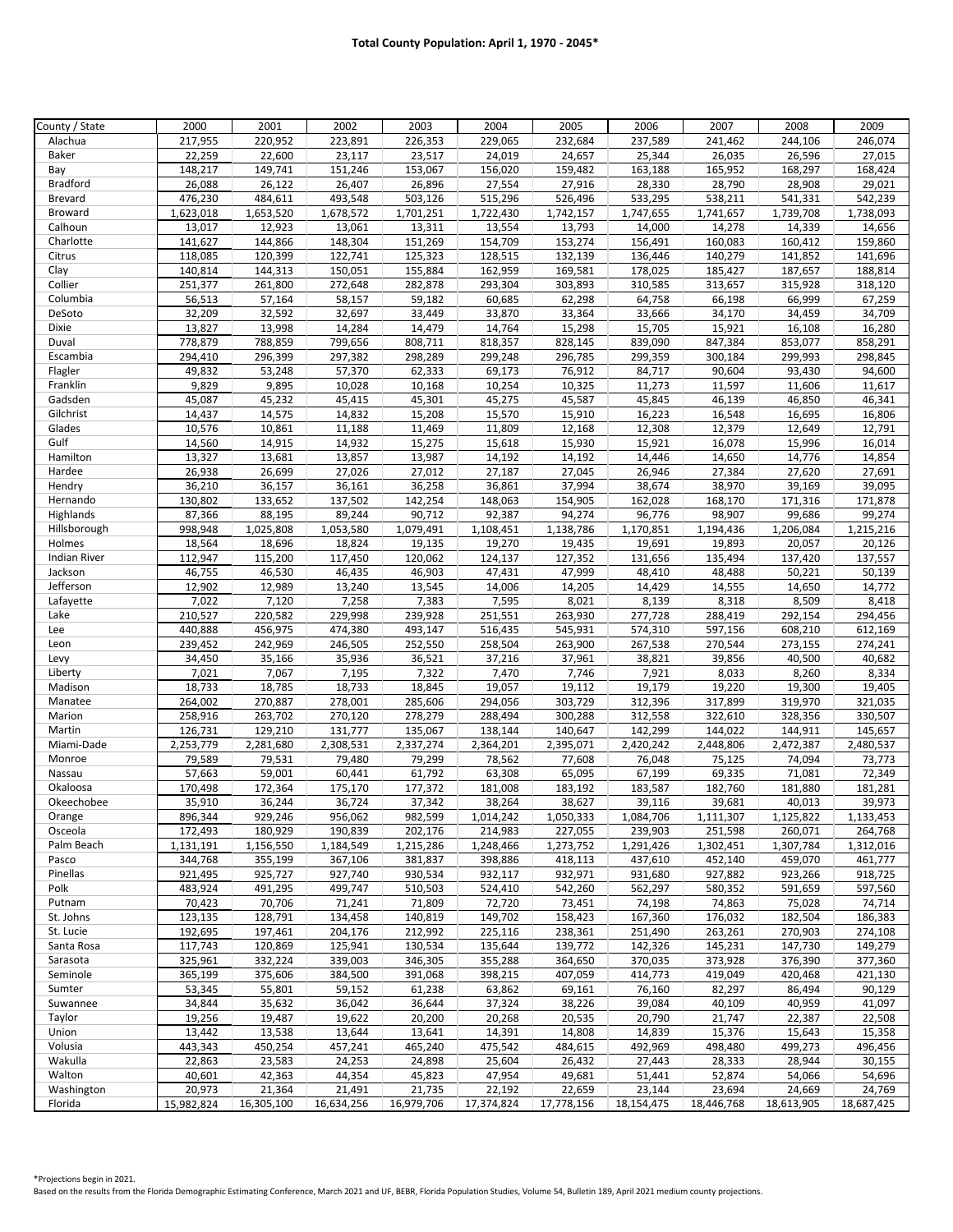| County / State      | 2000       | 2001       | 2002       | 2003       | 2004       | 2005              | 2006       | 2007       | 2008              | 2009              |
|---------------------|------------|------------|------------|------------|------------|-------------------|------------|------------|-------------------|-------------------|
| Alachua             | 217,955    | 220,952    | 223,891    | 226,353    | 229,065    | 232,684           | 237,589    | 241,462    | 244,106           | 246,074           |
| Baker               | 22,259     | 22,600     | 23,117     | 23,517     | 24,019     | 24,657            | 25,344     | 26,035     | 26,596            | 27,015            |
| Bay                 | 148,217    | 149,741    | 151,246    | 153,067    | 156,020    | 159,482           | 163,188    | 165,952    | 168,297           | 168,424           |
| <b>Bradford</b>     | 26,088     | 26,122     | 26,407     | 26,896     | 27,554     | 27,916            | 28,330     | 28,790     | 28,908            | 29,021            |
| <b>Brevard</b>      | 476,230    | 484,611    | 493,548    | 503,126    | 515,296    | 526,496           | 533,295    | 538,211    | 541,331           | 542,239           |
| <b>Broward</b>      | 1,623,018  | 1,653,520  | 1,678,572  | 1,701,251  | 1,722,430  | 1,742,157         | 1,747,655  | 1,741,657  | 1,739,708         | 1,738,093         |
| Calhoun             | 13,017     | 12,923     | 13,061     | 13,311     | 13,554     | 13,793            | 14,000     | 14,278     | 14,339            | 14,656            |
| Charlotte           | 141,627    | 144,866    | 148,304    | 151,269    | 154,709    | 153,274           | 156,491    | 160,083    | 160,412           | 159,860           |
| Citrus              | 118,085    | 120,399    | 122,741    | 125,323    | 128,515    | 132,139           | 136,446    | 140,279    | 141,852           | 141,696           |
| Clay                | 140,814    | 144,313    | 150,051    | 155,884    | 162,959    | 169,581           | 178,025    | 185,427    | 187,657           | 188,814           |
| Collier             | 251,377    | 261,800    | 272,648    | 282,878    | 293,304    | 303,893           | 310,585    | 313,657    | 315,928           | 318,120           |
| Columbia            | 56,513     | 57,164     | 58,157     | 59,182     | 60,685     | 62,298            | 64,758     | 66,198     | 66,999            | 67,259            |
| DeSoto              | 32,209     | 32,592     | 32,697     | 33,449     | 33,870     | 33,364            | 33,666     | 34,170     | 34,459            | 34,709            |
| Dixie               | 13,827     | 13,998     | 14,284     | 14,479     | 14,764     | 15,298            | 15,705     | 15,921     | 16,108            | 16,280            |
| Duval               | 778,879    | 788,859    | 799,656    | 808,711    | 818,357    | 828,145           | 839,090    | 847,384    | 853,077           | 858,291           |
| Escambia            | 294,410    | 296,399    | 297,382    | 298,289    | 299,248    | 296,785           | 299,359    | 300,184    | 299,993           | 298,845           |
| Flagler             | 49,832     | 53,248     | 57,370     | 62,333     | 69,173     | 76,912            | 84,717     | 90,604     | 93,430            | 94,600            |
| Franklin            | 9,829      | 9,895      | 10,028     | 10,168     | 10,254     | 10,325            | 11,273     | 11,597     | 11,606            | 11,617            |
| Gadsden             | 45,087     | 45,232     | 45,415     | 45,301     | 45,275     | 45,587            | 45,845     | 46,139     | 46,850            | 46,341            |
| Gilchrist           | 14,437     | 14,575     | 14,832     | 15,208     | 15,570     | 15,910            | 16,223     | 16,548     | 16,695            | 16,806            |
| Glades              | 10,576     | 10,861     | 11,188     | 11,469     | 11,809     | 12,168            | 12,308     | 12,379     | 12,649            | 12,791            |
| Gulf                | 14,560     | 14,915     | 14,932     | 15,275     | 15,618     | 15,930            | 15,921     | 16,078     | 15,996            | 16,014            |
| Hamilton            | 13,327     | 13,681     | 13,857     | 13,987     | 14,192     | 14,192            | 14,446     | 14,650     | 14,776            | 14,854            |
| Hardee              | 26,938     | 26,699     | 27,026     | 27,012     | 27,187     | 27,045            | 26,946     | 27,384     | 27,620            | 27,691            |
| Hendry              | 36,210     | 36,157     | 36,161     | 36,258     | 36,861     | 37,994            | 38,674     | 38,970     | 39,169            | 39,095            |
| Hernando            | 130,802    | 133,652    | 137,502    | 142,254    | 148,063    | 154,905           | 162,028    | 168,170    | 171,316           | 171,878           |
| Highlands           | 87,366     | 88,195     | 89,244     | 90,712     | 92,387     | 94,274            | 96,776     | 98,907     | 99,686            | 99,274            |
| Hillsborough        | 998,948    | 1,025,808  | 1,053,580  | 1,079,491  | 1,108,451  | 1,138,786         | 1,170,851  | 1,194,436  | 1,206,084         | 1,215,216         |
| Holmes              | 18,564     | 18,696     | 18,824     | 19,135     | 19,270     | 19,435            | 19,691     | 19,893     | 20,057            | 20,126            |
| <b>Indian River</b> | 112,947    | 115,200    | 117,450    | 120,062    | 124,137    | 127,352           | 131,656    | 135,494    | 137,420           | 137,557           |
| Jackson             | 46,755     | 46,530     | 46,435     | 46,903     | 47,431     | 47,999            | 48,410     | 48,488     | 50,221            | 50,139            |
| Jefferson           | 12,902     | 12,989     | 13,240     | 13,545     | 14,006     | 14,205            | 14,429     | 14,555     | 14,650            | 14,772            |
| Lafayette           | 7,022      | 7,120      | 7,258      | 7,383      | 7,595      | 8,021             | 8,139      | 8,318      | 8,509             | 8,418             |
| Lake                | 210,527    | 220,582    | 229,998    | 239,928    | 251,551    | 263,930           | 277,728    | 288,419    | 292,154           | 294,456           |
| Lee                 | 440,888    | 456,975    | 474,380    | 493,147    | 516,435    | 545,931           | 574,310    | 597,156    | 608,210           | 612,169           |
| Leon                | 239,452    | 242,969    | 246,505    | 252,550    | 258,504    | 263,900           | 267,538    | 270,544    | 273,155           | 274,241           |
| Levy                | 34,450     | 35,166     | 35,936     | 36,521     | 37,216     | 37,961            | 38,821     | 39,856     | 40,500            | 40,682            |
| Liberty             | 7,021      | 7,067      | 7,195      | 7,322      | 7,470      | 7,746             | 7,921      | 8,033      | 8,260             | 8,334             |
| Madison             | 18,733     | 18,785     | 18,733     | 18,845     | 19,057     | 19,112            | 19,179     | 19,220     | 19,300            | 19,405            |
| Manatee             | 264,002    | 270,887    | 278,001    | 285,606    | 294,056    | 303,729           | 312,396    | 317,899    | 319,970           | 321,035           |
| Marion              | 258,916    | 263,702    | 270,120    | 278,279    | 288,494    | 300,288           | 312,558    | 322,610    | 328,356           | 330,507           |
| Martin              | 126,731    | 129,210    | 131,777    | 135,067    | 138,144    | 140,647           | 142,299    | 144,022    | 144,911           | 145,657           |
| Miami-Dade          | 2,253,779  | 2,281,680  | 2,308,531  | 2,337,274  | 2,364,201  | 2,395,071         | 2,420,242  | 2,448,806  | 2,472,387         | 2,480,537         |
| Monroe              | 79,589     | 79,531     | 79,480     | 79,299     | 78,562     | 77,608            | 76,048     | 75,125     | 74,094            | 73,773            |
| Nassau              | 57,663     | 59,001     | 60,441     | 61,792     | 63,308     | 65,095            | 67,199     | 69,335     | 71,081            | 72,349            |
| Okaloosa            | 170,498    | 172,364    | 175,170    | 177,372    | 181,008    | 183,192           | 183,587    | 182,760    | 181,880           | 181,281           |
| Okeechobee          | 35,910     | 36,244     | 36,724     | 37,342     | 38,264     | 38,627            | 39,116     | 39,681     | 40,013            | 39,973            |
| Orange              | 896,344    | 929,246    | 956,062    | 982,599    | 1,014,242  | 1,050,333         | 1,084,706  | 1,111,307  | 1.125.822         | 1,133,453         |
| Osceola             | 172,493    | 180,929    | 190,839    | 202,176    | 214,983    | 227,055           | 239,903    | 251,598    | 260,071           | 264,768           |
| Palm Beach          | 1,131,191  | 1,156,550  | 1,184,549  | 1,215,286  | 1,248,466  | 1,273,752         | 1,291,426  | 1,302,451  | 1,307,784         | 1,312,016         |
| Pasco               | 344,768    | 355,199    | 367,106    | 381,837    | 398,886    | 418,113           | 437,610    | 452,140    | 459,070           | 461,777           |
| Pinellas            | 921,495    | 925,727    | 927,740    | 930,534    | 932,117    | 932,971           | 931,680    | 927,882    | 923,266           | 918,725           |
| Polk                | 483,924    | 491,295    | 499,747    | 510,503    | 524,410    | 542,260           | 562,297    | 580,352    | 591,659           | 597,560           |
| Putnam              | 70,423     | 70,706     | 71,241     | 71,809     | 72,720     | 73,451            | 74,198     | 74,863     | 75,028            | 74,714            |
| St. Johns           | 123,135    | 128,791    | 134,458    | 140,819    | 149,702    | 158,423           | 167,360    | 176,032    | 182,504           | 186,383           |
| St. Lucie           | 192,695    | 197,461    | 204,176    | 212,992    | 225,116    | 238,361           | 251,490    | 263,261    | 270,903           | 274,108           |
| Santa Rosa          | 117,743    | 120,869    | 125,941    | 130,534    | 135,644    | 139,772           | 142,326    | 145,231    | 147,730           | 149,279           |
| Sarasota            | 325,961    | 332,224    | 339,003    | 346,305    | 355,288    | 364,650           | 370,035    | 373,928    | 376,390           | 377,360           |
| Seminole            | 365,199    | 375,606    | 384,500    | 391,068    | 398,215    | 407,059           | 414,773    | 419,049    | 420,468           | 421,130           |
| Sumter              | 53,345     | 55,801     | 59,152     | 61,238     | 63,862     | 69,161            | 76,160     | 82,297     | 86,494            | 90,129            |
| Suwannee            | 34,844     | 35,632     | 36,042     | 36,644     | 37,324     | 38,226            | 39,084     | 40,109     | 40,959            | 41,097            |
| Taylor              | 19,256     | 19,487     | 19,622     | 20,200     | 20,268     | 20,535            | 20,790     | 21,747     | 22,387            | 22,508            |
| Union               | 13,442     | 13,538     | 13,644     | 13,641     | 14,391     | 14,808            | 14,839     | 15,376     | 15,643            | 15,358            |
| Volusia             | 443,343    | 450,254    | 457,241    | 465,240    | 475,542    |                   | 492,969    | 498,480    |                   |                   |
| Wakulla             | 22,863     | 23,583     | 24,253     | 24,898     | 25,604     | 484,615<br>26,432 | 27,443     | 28,333     | 499,273<br>28,944 | 496,456<br>30,155 |
| Walton              | 40,601     |            |            |            |            |                   |            |            |                   |                   |
| Washington          |            | 42,363     | 44,354     | 45,823     | 47,954     | 49,681            | 51,441     | 52,874     | 54,066            | 54,696            |
|                     | 20,973     | 21,364     | 21,491     | 21,735     | 22,192     | 22,659            | 23,144     | 23,694     | 24,669            | 24,769            |
| Florida             | 15,982,824 | 16,305,100 | 16,634,256 | 16,979,706 | 17,374,824 | 17,778,156        | 18,154,475 | 18,446,768 | 18,613,905        | 18,687,425        |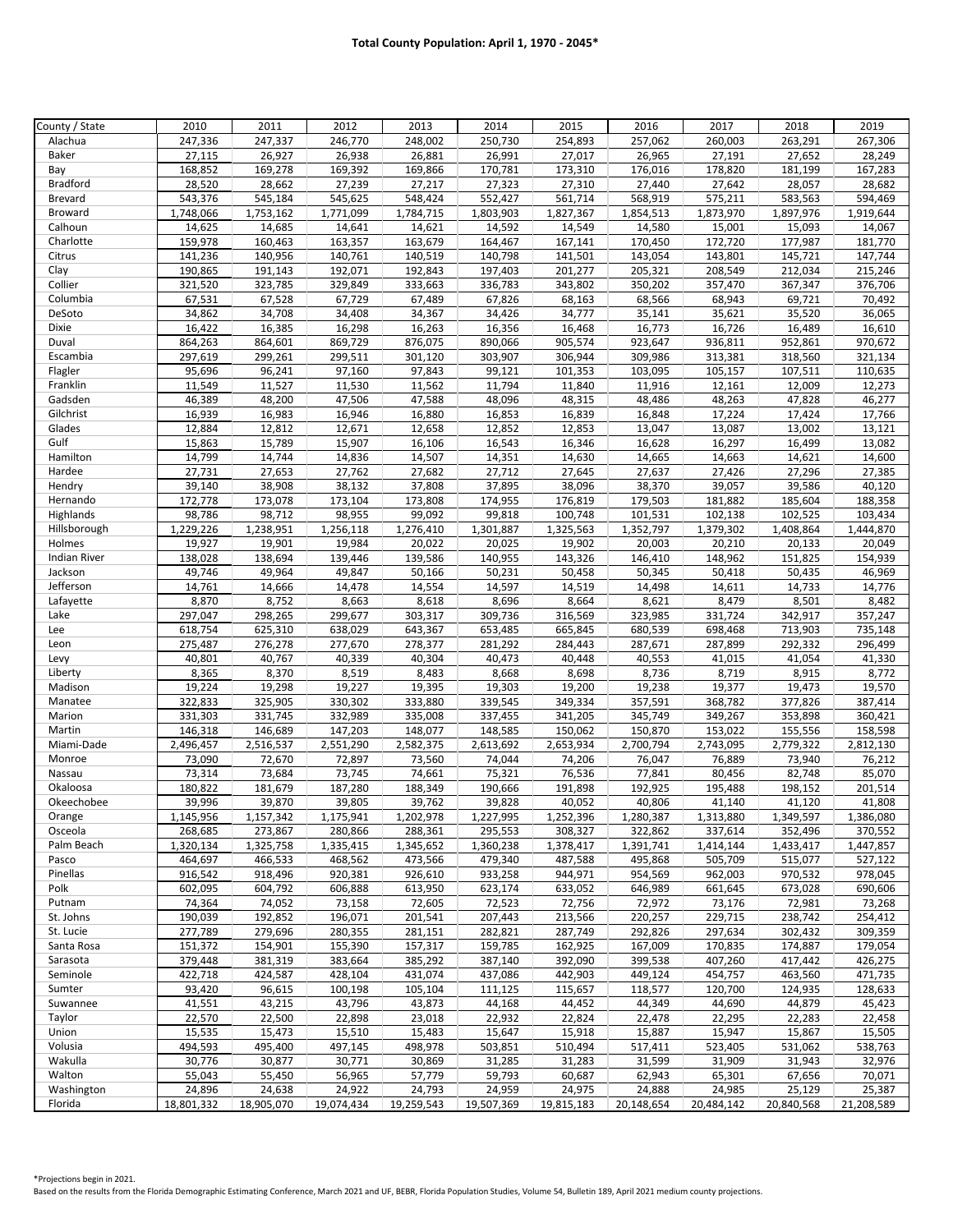| County / State         | 2010              | 2011              | 2012              | 2013              | 2014                | 2015              | 2016              | 2017              | 2018              | 2019              |
|------------------------|-------------------|-------------------|-------------------|-------------------|---------------------|-------------------|-------------------|-------------------|-------------------|-------------------|
| Alachua                | 247,336           | 247,337           | 246,770           | 248,002           | 250,730             | 254,893           | 257,062           | 260,003           | 263,291           | 267,306           |
| Baker                  | 27,115            | 26,927            | 26,938            | 26,881            | 26,991              | 27,017            | 26,965            | 27,191            | 27,652            | 28,249            |
| Bay                    | 168,852           | 169,278           | 169,392           | 169,866           | 170,781             | 173,310           | 176,016           | 178,820           | 181,199           | 167,283           |
| <b>Bradford</b>        | 28,520            | 28,662            | 27,239            | 27,217            | 27,323              | 27,310            | 27,440            | 27,642            | 28,057            | 28,682            |
| <b>Brevard</b>         | 543,376           | 545,184           | 545,625           | 548,424           | 552,427             | 561,714           | 568,919           | 575,211           | 583,563           | 594,469           |
| Broward                | 1,748,066         | 1,753,162         | 1,771,099         | 1,784,715         | 1,803,903           | 1,827,367         | 1,854,513         | 1,873,970         | 1,897,976         | 1,919,644         |
| Calhoun                | 14,625            | 14,685            | 14,641            | 14,621            | 14,592              | 14,549            | 14,580            | 15,001            | 15,093            | 14,067            |
| Charlotte              | 159,978           | 160,463           | 163,357           | 163,679           | 164,467             | 167,141           | 170,450           | 172,720           | 177,987           | 181,770           |
| Citrus                 | 141,236           | 140,956           | 140,761           | 140,519           | 140,798             | 141,501           | 143,054           | 143,801           | 145,721           | 147,744           |
| Clay                   | 190,865           | 191,143           | 192,071           | 192,843           | 197,403             | 201,277           | 205,321           | 208,549           | 212,034           | 215,246           |
| Collier                | 321,520           | 323,785           | 329,849           | 333,663           | 336,783             | 343,802           | 350,202           | 357,470           | 367,347           | 376,706           |
| Columbia               | 67,531            | 67,528            | 67,729            | 67,489            | 67,826              | 68,163            | 68,566            | 68,943            | 69,721            | 70,492            |
| DeSoto                 | 34,862            | 34,708            | 34,408            | 34,367            | 34,426              | 34,777            | 35,141            | 35,621            | 35,520            | 36,065            |
| Dixie                  | 16,422            | 16,385            | 16,298            | 16,263            | 16,356              | 16,468            | 16,773            | 16,726            | 16,489            | 16,610            |
| Duval                  | 864,263           | 864,601           | 869,729           | 876,075           | 890,066             | 905,574           | 923,647           | 936,811           | 952,861           | 970,672           |
| Escambia               | 297,619           | 299,261           | 299,511           | 301,120           | 303,907             | 306,944           | 309,986           | 313,381           | 318,560           | 321,134           |
| Flagler                | 95,696            | 96,241            | 97,160            | 97,843            | 99,121              | 101,353           | 103,095           | 105,157           | 107,511           | 110,635           |
| Franklin               | 11,549            | 11,527            | 11,530            | 11,562            | 11,794              | 11,840            | 11,916            | 12,161            | 12,009            | 12,273            |
| Gadsden                | 46,389            | 48,200            | 47,506            | 47,588            | 48,096              | 48,315            | 48,486            | 48,263            | 47,828            | 46,277            |
| Gilchrist              | 16,939            | 16,983            | 16,946            | 16,880            | 16,853              | 16,839            | 16,848            | 17,224            | 17,424            | 17,766            |
| Glades                 | 12,884            | 12,812            | 12,671            | 12,658            | 12,852              | 12,853            | 13,047            | 13,087            | 13,002            | 13,121            |
| Gulf                   | 15,863            | 15,789            | 15,907            | 16,106            | 16,543              | 16,346            | 16,628            | 16,297            | 16,499            | 13,082            |
| Hamilton               | 14,799            | 14,744            | 14,836            | 14,507            | 14,351              | 14,630            | 14,665            | 14,663            | 14,621            | 14,600            |
| Hardee                 | 27,731            | 27,653            | 27,762            | 27,682            | 27,712              | 27,645            | 27,637            | 27,426            | 27,296            | 27,385            |
| Hendry                 | 39,140            | 38,908            | 38,132            | 37,808            | 37,895              | 38,096            | 38,370            | 39,057            | 39,586            | 40,120            |
| Hernando               | 172,778           | 173,078           | 173,104           | 173,808           | 174,955             | 176,819           | 179,503           | 181,882           | 185,604           | 188,358           |
| Highlands              | 98,786            | 98,712            | 98,955            | 99,092            | 99,818<br>1,301,887 | 100,748           | 101,531           | 102,138           | 102,525           | 103,434           |
| Hillsborough<br>Holmes | 1,229,226         | 1,238,951         | 1,256,118         | 1,276,410         |                     | 1,325,563         | 1,352,797         | 1,379,302         | 1,408,864         | 1,444,870         |
| <b>Indian River</b>    | 19,927            | 19,901<br>138,694 | 19,984<br>139,446 | 20,022<br>139,586 | 20,025<br>140,955   | 19,902            | 20,003<br>146,410 | 20,210<br>148,962 | 20,133<br>151,825 | 20,049<br>154,939 |
| Jackson                | 138,028<br>49,746 | 49,964            | 49,847            | 50,166            | 50,231              | 143,326<br>50,458 | 50,345            | 50,418            | 50,435            | 46,969            |
| Jefferson              | 14,761            | 14,666            | 14,478            | 14,554            | 14,597              | 14,519            | 14,498            | 14,611            | 14,733            | 14,776            |
| Lafayette              | 8,870             | 8,752             | 8,663             | 8,618             | 8,696               | 8,664             | 8,621             | 8,479             | 8,501             | 8,482             |
| Lake                   | 297,047           | 298,265           | 299,677           | 303,317           | 309,736             | 316,569           | 323,985           | 331,724           | 342,917           | 357,247           |
| Lee                    | 618,754           | 625,310           | 638,029           | 643,367           | 653,485             | 665,845           | 680,539           | 698,468           | 713,903           | 735,148           |
| Leon                   | 275,487           | 276,278           | 277,670           | 278,377           | 281,292             | 284,443           | 287,671           | 287,899           | 292,332           | 296,499           |
| Levy                   | 40,801            | 40,767            | 40,339            | 40,304            | 40,473              | 40,448            | 40,553            | 41,015            | 41,054            | 41,330            |
| Liberty                | 8,365             | 8,370             | 8,519             | 8,483             | 8,668               | 8,698             | 8,736             | 8,719             | 8,915             | 8,772             |
| Madison                | 19,224            | 19,298            | 19,227            | 19,395            | 19,303              | 19,200            | 19,238            | 19,377            | 19,473            | 19,570            |
| Manatee                | 322,833           | 325,905           | 330,302           | 333,880           | 339,545             | 349,334           | 357,591           | 368,782           | 377,826           | 387,414           |
| Marion                 | 331,303           | 331,745           | 332,989           | 335,008           | 337,455             | 341,205           | 345,749           | 349,267           | 353,898           | 360,421           |
| Martin                 | 146,318           | 146,689           | 147,203           | 148,077           | 148,585             | 150,062           | 150,870           | 153,022           | 155,556           | 158,598           |
| Miami-Dade             | 2,496,457         | 2,516,537         | 2,551,290         | 2,582,375         | 2,613,692           | 2,653,934         | 2,700,794         | 2,743,095         | 2,779,322         | 2,812,130         |
| Monroe                 | 73,090            | 72,670            | 72,897            | 73,560            | 74,044              | 74,206            | 76,047            | 76,889            | 73,940            | 76,212            |
| Nassau                 | 73,314            | 73,684            | 73,745            | 74,661            | 75,321              | 76,536            | 77,841            | 80,456            | 82,748            | 85,070            |
| Okaloosa               | 180,822           | 181,679           | 187,280           | 188,349           | 190,666             | 191,898           | 192,925           | 195,488           | 198,152           | 201,514           |
| Okeechobee             | 39,996            | 39,870            | 39,805            | 39,762            | 39,828              | 40,052            | 40,806            | 41,140            | 41,120            | 41,808            |
| Orange                 | 1,145,956         | 1,157,342         | 1,175,941         | 1,202,978         | 1,227,995           | 1,252,396         | 1,280,387         | 1,313,880         | 1,349,597         | 1,386,080         |
| Osceola                | 268,685           | 273,867           | 280,866           | 288,361           | 295,553             | 308,327           | 322,862           | 337,614           | 352,496           | 370,552           |
| Palm Beach             | 1,320,134         | 1,325,758         | 1,335,415         | 1,345,652         | 1,360,238           | 1,378,417         | 1,391,741         | 1,414,144         | 1,433,417         | 1,447,857         |
| Pasco                  | 464,697           | 466,533           | 468,562           | 473,566           | 479,340             | 487,588           | 495,868           | 505,709           | 515,077           | 527,122           |
| Pinellas               | 916,542           | 918,496           | 920,381           | 926,610           | 933,258             | 944,971           | 954,569           | 962,003           | 970,532           | 978,045           |
| Polk                   | 602,095           | 604,792           | 606,888           | 613,950           | 623,174             | 633,052           | 646,989           | 661,645           | 673,028           | 690,606           |
| Putnam                 | 74,364            | 74,052            | 73,158            | 72,605            | 72,523              | 72,756            | 72,972            | 73,176            | 72,981            | 73,268            |
| St. Johns              | 190,039           | 192,852           | 196,071           | 201,541           | 207,443             | 213,566           | 220,257           | 229,715           | 238,742           | 254,412           |
| St. Lucie              | 277,789           | 279,696           | 280,355           | 281,151           | 282,821             | 287,749           | 292,826           | 297,634           | 302,432           | 309,359           |
| Santa Rosa             | 151,372           | 154,901           | 155,390           | 157,317           | 159,785             | 162,925           | 167,009           | 170,835           | 174,887           | 179,054           |
| Sarasota               | 379,448           | 381,319           | 383,664           | 385,292           | 387,140             | 392,090           | 399,538           | 407,260           | 417,442           | 426,275           |
| Seminole               | 422,718           | 424,587           | 428,104           | 431,074           | 437,086             | 442,903           | 449,124           | 454,757           | 463,560           | 471,735           |
| Sumter                 | 93,420            | 96,615            | 100,198           | 105,104           | 111,125             | 115,657           | 118,577           | 120,700           | 124,935           | 128,633           |
| Suwannee               | 41,551            | 43,215            | 43,796            | 43,873            | 44,168              | 44,452            | 44,349            | 44,690            | 44,879            | 45,423            |
| Taylor                 | 22,570            | 22,500            | 22,898            | 23,018            | 22,932              | 22,824            | 22,478            | 22,295            | 22,283            | 22,458            |
| Union                  | 15,535            | 15,473            | 15,510            | 15,483            | 15,647              | 15,918            | 15,887            | 15,947            | 15,867            | 15,505            |
| Volusia                | 494,593           | 495,400           | 497,145           | 498,978           | 503,851             | 510,494           | 517,411           | 523,405           | 531,062           | 538,763           |
| Wakulla                | 30,776            | 30,877            | 30,771            | 30,869            | 31,285              | 31,283            | 31,599            | 31,909            | 31,943            | 32,976            |
| Walton                 | 55,043            | 55,450            | 56,965            | 57,779            | 59,793              | 60,687            | 62,943            | 65,301            | 67,656            | 70,071            |
| Washington             | 24,896            | 24,638            | 24,922            | 24,793            | 24,959              | 24,975            | 24,888            | 24,985            | 25,129            | 25,387            |
| Florida                | 18,801,332        | 18,905,070        | 19,074,434        | 19,259,543        | 19,507,369          | 19,815,183        | 20,148,654        | 20,484,142        | 20,840,568        | 21,208,589        |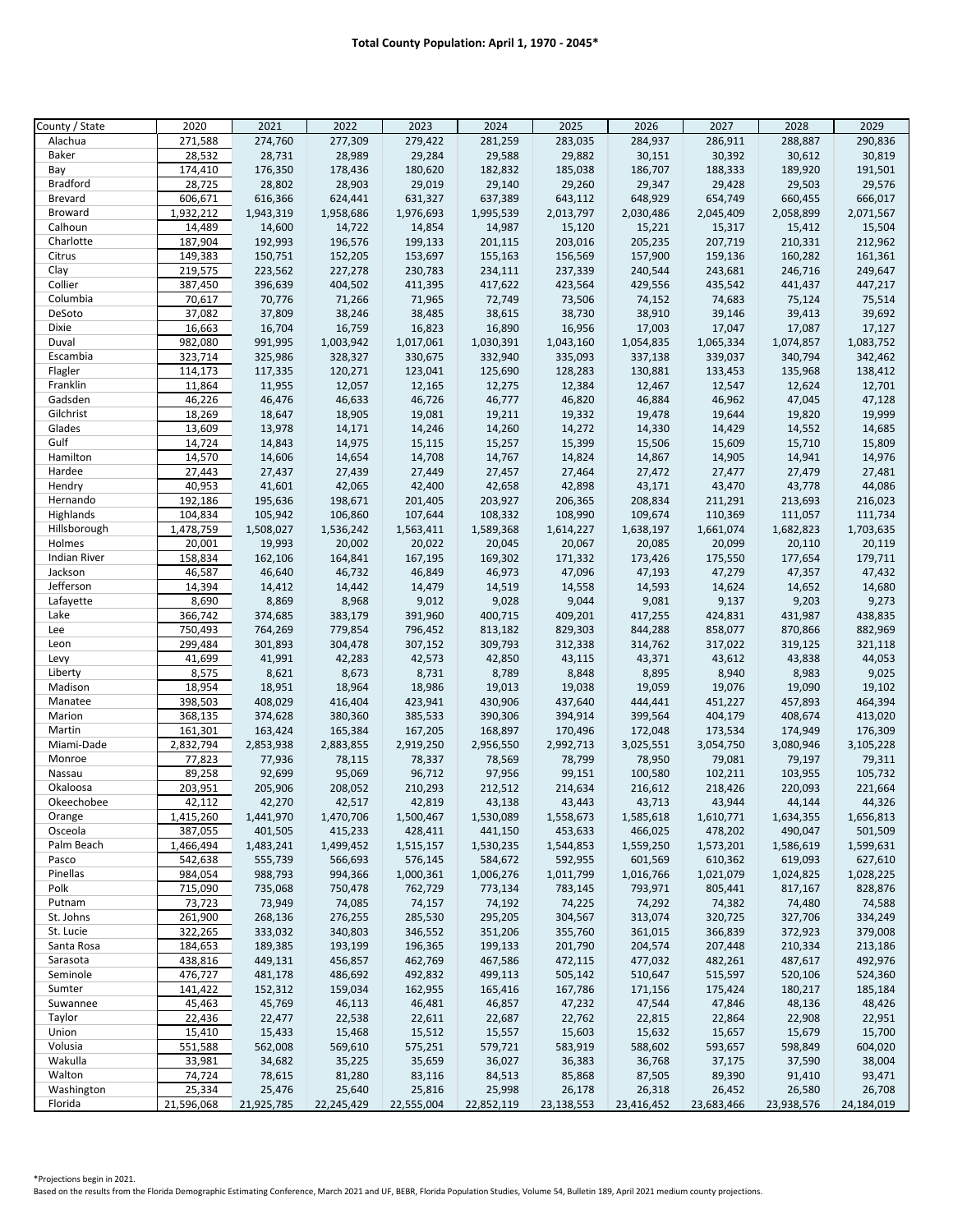| County / State         | 2020                 | 2021                 | 2022                 | 2023                 | 2024                 | 2025                 | 2026                 | 2027                 | 2028                 | 2029                 |
|------------------------|----------------------|----------------------|----------------------|----------------------|----------------------|----------------------|----------------------|----------------------|----------------------|----------------------|
| Alachua                | 271,588              | 274,760              | 277,309              | 279,422              | 281,259              | 283,035              | 284,937              | 286,911              | 288,887              | 290,836              |
| Baker                  | 28,532               | 28,731               | 28,989               | 29,284               | 29,588               | 29,882               | 30,151               | 30,392               | 30,612               | 30,819               |
| Bay                    | 174,410              | 176,350              | 178,436              | 180,620              | 182,832              | 185,038              | 186,707              | 188,333              | 189,920              | 191,501              |
| <b>Bradford</b>        | 28,725               | 28,802               | 28,903               | 29,019               | 29,140               | 29,260               | 29,347               | 29,428               | 29,503               | 29,576               |
| <b>Brevard</b>         | 606,671              | 616,366              | 624,441              | 631,327              | 637,389              | 643,112              | 648,929              | 654,749              | 660,455              | 666,017              |
| <b>Broward</b>         | 1,932,212            | 1,943,319            | 1,958,686            | 1,976,693            | 1,995,539            | 2,013,797            | 2,030,486            | 2,045,409            | 2,058,899            | 2,071,567            |
| Calhoun                | 14,489               | 14,600               | 14,722               | 14,854               | 14,987               | 15,120               | 15,221               | 15,317               | 15,412               | 15,504               |
| Charlotte              | 187,904              | 192,993              | 196,576              | 199,133              | 201,115              | 203,016              | 205,235              | 207,719              | 210,331              | 212,962              |
| Citrus                 | 149,383              | 150,751              | 152,205              | 153,697              | 155,163              | 156,569              | 157,900              | 159,136              | 160,282              | 161,361              |
| Clay                   | 219,575              | 223,562              | 227,278              | 230,783              | 234,111              | 237,339              | 240,544              | 243,681              | 246,716              | 249,647              |
| Collier                | 387,450              | 396,639              | 404,502              | 411,395              | 417,622              | 423,564              | 429,556              | 435,542              | 441,437              | 447,217              |
| Columbia               | 70,617               | 70,776               | 71,266               | 71,965               | 72,749               | 73,506               | 74,152               | 74,683               | 75,124               | 75,514               |
| DeSoto                 | 37,082               | 37,809               | 38,246               | 38,485               | 38,615               | 38,730               | 38,910               | 39,146               | 39,413               | 39,692               |
| Dixie                  | 16,663               | 16,704               | 16,759               | 16,823               | 16,890               | 16,956               | 17,003               | 17,047               | 17,087               | 17,127               |
| Duval                  | 982,080              | 991,995              | 1,003,942            | 1,017,061            | 1,030,391            | 1,043,160            | 1,054,835            | 1,065,334            | 1,074,857            | 1,083,752            |
| Escambia               | 323,714              | 325,986              | 328,327              | 330,675              | 332,940              | 335,093              | 337,138              | 339,037              | 340,794              | 342,462              |
| Flagler                | 114,173              | 117,335              | 120,271              | 123,041              | 125,690              | 128,283              | 130,881              | 133,453              | 135,968              | 138,412              |
| Franklin               | 11,864               | 11,955               | 12,057               | 12,165               | 12,275               | 12,384               | 12,467               | 12,547               | 12,624               | 12,701               |
| Gadsden                | 46,226               | 46,476               | 46,633               | 46,726               | 46,777               | 46,820               | 46,884               | 46,962               | 47,045               | 47,128               |
| Gilchrist              | 18,269               | 18,647               | 18,905               | 19,081               | 19,211               | 19,332               | 19,478               | 19,644               | 19,820               | 19,999               |
| Glades                 | 13,609               | 13,978               | 14,171               | 14,246               | 14,260               | 14,272               | 14,330               | 14,429               | 14,552               | 14,685               |
| Gulf                   | 14,724               | 14,843               | 14,975               | 15,115               | 15,257               | 15,399               | 15,506               | 15,609               | 15,710               | 15,809               |
| Hamilton               | 14,570               | 14,606               | 14,654               | 14,708               | 14,767               | 14,824               | 14,867               | 14,905               | 14,941               | 14,976               |
| Hardee                 | 27,443               | 27,437               | 27,439               | 27,449               | 27,457               | 27,464               | 27,472               | 27,477               | 27,479               | 27,481               |
| Hendry                 | 40,953               | 41,601               | 42,065               | 42,400               | 42,658               | 42,898               | 43,171               | 43,470               | 43,778               | 44,086               |
| Hernando               | 192,186              | 195,636              | 198,671              | 201,405              | 203,927              | 206,365              | 208,834              | 211,291              | 213,693              | 216,023              |
| Highlands              | 104,834              | 105,942              | 106,860              | 107,644              | 108,332              | 108,990              | 109,674              | 110,369              | 111,057              | 111,734              |
| Hillsborough           | 1,478,759            | 1,508,027            | 1,536,242            | 1,563,411            | 1,589,368            | 1,614,227            | 1,638,197            | 1,661,074            | 1,682,823            | 1,703,635            |
| Holmes                 | 20,001               | 19,993               | 20,002               | 20,022               | 20,045               | 20,067               | 20,085               | 20,099               | 20,110               | 20,119               |
| <b>Indian River</b>    | 158,834              | 162,106              | 164,841              | 167,195              | 169,302              | 171,332              | 173,426              | 175,550              | 177,654              | 179,711              |
| Jackson                | 46,587               | 46,640               | 46,732               | 46,849               | 46,973               | 47,096               | 47,193               | 47,279               | 47,357               | 47,432               |
| Jefferson              | 14,394               |                      |                      | 14,479               |                      | 14,558               |                      | 14,624               | 14,652               | 14,680               |
| Lafayette              | 8,690                | 14,412<br>8,869      | 14,442<br>8,968      | 9,012                | 14,519<br>9,028      | 9,044                | 14,593<br>9,081      | 9,137                | 9,203                | 9,273                |
|                        |                      |                      |                      |                      |                      |                      |                      |                      |                      |                      |
| Lake<br>Lee            | 366,742              | 374,685<br>764,269   | 383,179<br>779,854   | 391,960              | 400,715              | 409,201<br>829,303   | 417,255              | 424,831              | 431,987              | 438,835<br>882,969   |
| Leon                   | 750,493<br>299,484   |                      |                      | 796,452              | 813,182              |                      | 844,288              | 858,077              | 870,866              |                      |
|                        | 41,699               | 301,893              | 304,478<br>42,283    | 307,152<br>42,573    | 309,793              | 312,338              | 314,762              | 317,022              | 319,125              | 321,118              |
| Levy                   |                      | 41,991               |                      |                      | 42,850               | 43,115               | 43,371               | 43,612               | 43,838               | 44,053               |
| Liberty                | 8,575<br>18,954      | 8,621<br>18,951      | 8,673<br>18,964      | 8,731<br>18,986      | 8,789<br>19,013      | 8,848<br>19,038      | 8,895<br>19,059      | 8,940<br>19,076      | 8,983<br>19,090      | 9,025<br>19,102      |
| Madison                | 398,503              |                      | 416,404              |                      | 430,906              | 437,640              |                      |                      |                      | 464,394              |
| Manatee<br>Marion      | 368,135              | 408,029              | 380,360              | 423,941              | 390,306              |                      | 444,441              | 451,227              | 457,893<br>408,674   |                      |
| Martin                 | 161,301              | 374,628<br>163,424   | 165,384              | 385,533<br>167,205   | 168,897              | 394,914<br>170,496   | 399,564<br>172,048   | 404,179<br>173,534   | 174,949              | 413,020<br>176,309   |
| Miami-Dade             | 2,832,794            | 2,853,938            | 2,883,855            | 2,919,250            | 2,956,550            |                      | 3,025,551            | 3,054,750            | 3,080,946            |                      |
| Monroe                 | 77,823               | 77,936               | 78,115               | 78,337               | 78,569               | 2,992,713<br>78,799  | 78,950               | 79,081               | 79,197               | 3,105,228<br>79,311  |
| Nassau                 | 89,258               | 92,699               | 95,069               | 96,712               | 97,956               | 99,151               | 100,580              | 102,211              | 103,955              | 105,732              |
| Okaloosa               | 203,951              | 205,906              | 208,052              | 210,293              | 212,512              |                      | 216,612              | 218,426              | 220,093              | 221,664              |
| Okeechobee             | 42,112               | 42,270               | 42,517               | 42,819               | 43,138               | 214,634<br>43,443    | 43,713               | 43,944               | 44,144               | 44,326               |
|                        | 1,415,260            | 1,441,970            | 1,470,706            | 1,500,467            | 1,530,089            | 1,558,673            | 1,585,618            | 1,610,771            | 1,634,355            | 1,656,813            |
| Orange                 |                      |                      |                      |                      |                      |                      |                      |                      |                      |                      |
| Osceola<br>Palm Beach  | 387,055<br>1,466,494 | 401,505<br>1,483,241 | 415,233              | 428,411<br>1,515,157 | 441,150              | 453,633<br>1,544,853 | 466,025<br>1,559,250 | 478,202<br>1,573,201 | 490,047<br>1,586,619 | 501,509<br>1,599,631 |
| Pasco                  | 542,638              | 555,739              | 1,499,452<br>566,693 | 576,145              | 1,530,235<br>584,672 | 592,955              | 601,569              | 610,362              | 619,093              | 627,610              |
| Pinellas               | 984,054              | 988,793              |                      |                      |                      |                      | 1,016,766            |                      | 1,024,825            | 1,028,225            |
| Polk                   | 715,090              | 735,068              | 994,366<br>750,478   | 1,000,361<br>762,729 | 1,006,276<br>773,134 | 1,011,799            | 793,971              | 1,021,079<br>805,441 | 817,167              | 828,876              |
| Putnam                 | 73,723               | 73,949               | 74,085               | 74,157               | 74,192               | 783,145<br>74,225    | 74,292               | 74,382               | 74,480               | 74,588               |
| St. Johns              | 261,900              | 268,136              | 276,255              | 285,530              | 295,205              | 304,567              | 313,074              | 320,725              | 327,706              | 334,249              |
| St. Lucie              | 322,265              | 333,032              | 340,803              | 346,552              | 351,206              | 355,760              | 361,015              | 366,839              | 372,923              | 379,008              |
|                        |                      |                      | 193,199              |                      | 199,133              | 201,790              |                      |                      | 210,334              |                      |
| Santa Rosa<br>Sarasota | 184,653<br>438,816   | 189,385              |                      | 196,365<br>462,769   |                      |                      | 204,574              | 207,448              |                      | 213,186<br>492,976   |
| Seminole               |                      | 449,131              | 456,857              |                      | 467,586              | 472,115              | 477,032              | 482,261              | 487,617              |                      |
| Sumter                 | 476,727              | 481,178              | 486,692              | 492,832              | 499,113              | 505,142              | 510,647              | 515,597              | 520,106              | 524,360              |
|                        | 141,422<br>45,463    | 152,312              | 159,034              | 162,955              | 165,416              | 167,786              | 171,156              | 175,424              | 180,217              | 185,184              |
| Suwannee               |                      | 45,769               | 46,113               | 46,481               | 46,857               | 47,232               | 47,544               | 47,846               | 48,136               | 48,426               |
| Taylor                 | 22,436               | 22,477               | 22,538               | 22,611               | 22,687               | 22,762               | 22,815               | 22,864               | 22,908               | 22,951               |
| Union                  | 15,410               | 15,433               | 15,468               | 15,512               | 15,557               | 15,603               | 15,632               | 15,657               | 15,679               | 15,700               |
| Volusia                | 551,588              | 562,008              | 569,610              | 575,251              | 579,721              | 583,919              | 588,602              | 593,657              | 598,849              | 604,020              |
| Wakulla                | 33,981               | 34,682               | 35,225               | 35,659               | 36,027               | 36,383               | 36,768               | 37,175               | 37,590               | 38,004               |
| Walton                 | 74,724               | 78,615               | 81,280               | 83,116               | 84,513               | 85,868               | 87,505               | 89,390               | 91,410               | 93,471               |
| Washington             | 25,334               | 25,476               | 25,640               | 25,816               | 25,998               | 26,178               | 26,318               | 26,452               | 26,580               | 26,708               |
| Florida                | 21,596,068           | 21,925,785           | 22,245,429           | 22,555,004           | 22,852,119           | 23,138,553           | 23,416,452           | 23,683,466           | 23,938,576           | 24,184,019           |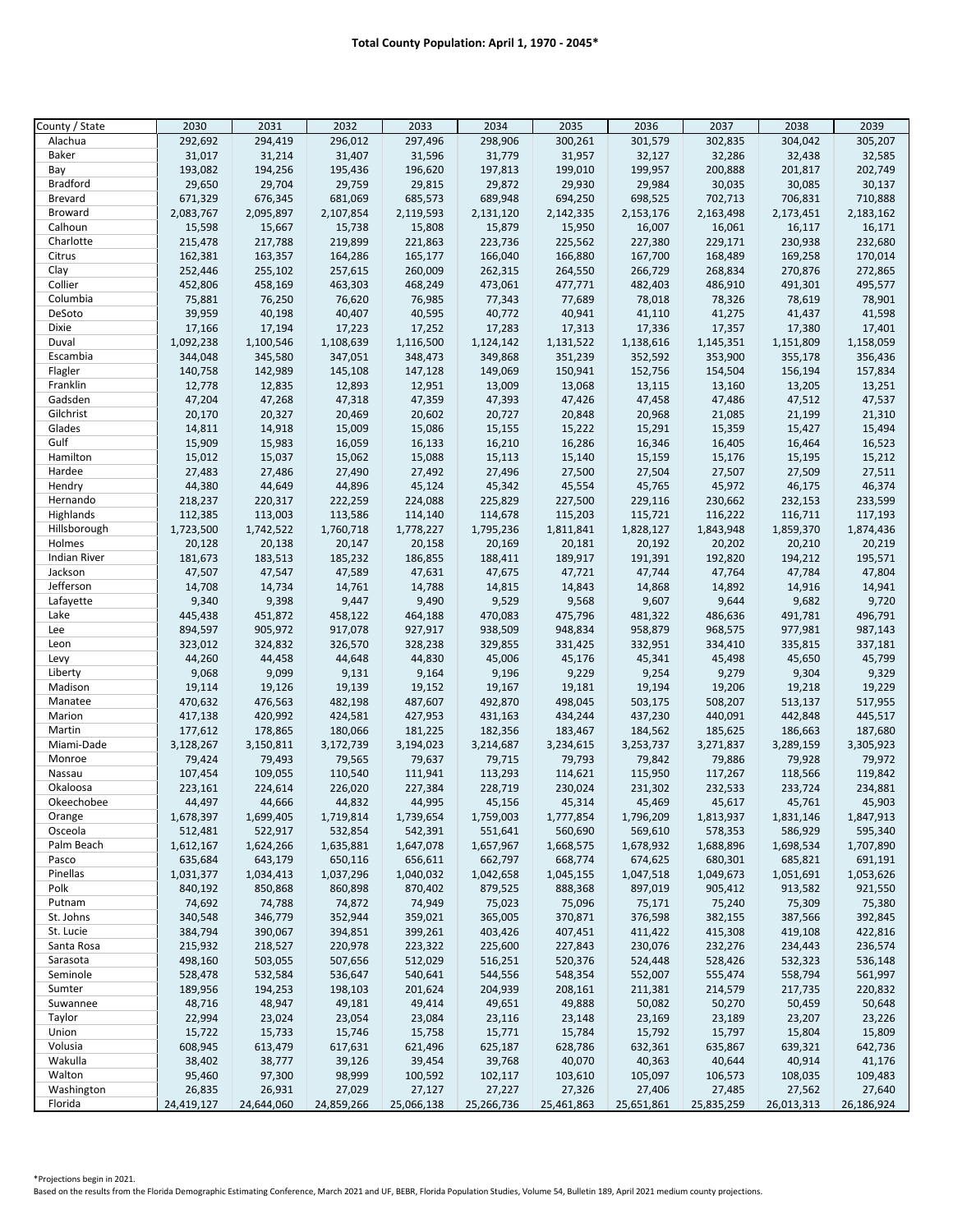| County / State         | 2030               | 2031               | 2032               | 2033               | 2034               | 2035               | 2036               | 2037               | 2038               | 2039               |
|------------------------|--------------------|--------------------|--------------------|--------------------|--------------------|--------------------|--------------------|--------------------|--------------------|--------------------|
| Alachua                | 292,692            | 294,419            | 296,012            | 297,496            | 298,906            | 300,261            | 301,579            | 302,835            | 304,042            | 305,207            |
| Baker                  | 31,017             | 31,214             | 31,407             | 31,596             | 31,779             | 31,957             | 32,127             | 32,286             | 32,438             | 32,585             |
| Bay                    | 193,082            | 194,256            | 195,436            | 196,620            | 197,813            | 199,010            | 199,957            | 200,888            | 201,817            | 202,749            |
| <b>Bradford</b>        | 29,650             | 29,704             | 29,759             | 29,815             | 29,872             | 29,930             | 29,984             | 30,035             | 30,085             | 30,137             |
| <b>Brevard</b>         | 671,329            | 676,345            | 681,069            | 685,573            | 689,948            | 694,250            | 698,525            | 702,713            | 706,831            | 710,888            |
| <b>Broward</b>         | 2,083,767          | 2,095,897          | 2,107,854          | 2,119,593          | 2,131,120          | 2,142,335          | 2,153,176          | 2,163,498          | 2,173,451          | 2,183,162          |
| Calhoun<br>Charlotte   | 15,598<br>215,478  | 15,667<br>217,788  | 15,738<br>219,899  | 15,808<br>221,863  | 15,879<br>223,736  | 15,950<br>225,562  | 16,007<br>227,380  | 16,061<br>229,171  | 16,117<br>230,938  | 16,171<br>232,680  |
| Citrus                 | 162,381            | 163,357            | 164,286            | 165,177            | 166,040            | 166,880            | 167,700            | 168,489            | 169,258            | 170,014            |
| Clay                   | 252,446            | 255,102            | 257,615            | 260,009            | 262,315            | 264,550            | 266,729            | 268,834            | 270,876            | 272,865            |
| Collier                | 452,806            | 458,169            | 463,303            | 468,249            | 473,061            | 477,771            | 482,403            | 486,910            | 491,301            | 495,577            |
| Columbia               | 75,881             | 76,250             | 76,620             | 76,985             | 77,343             | 77,689             | 78,018             | 78,326             | 78,619             | 78,901             |
| DeSoto                 | 39,959             | 40,198             | 40,407             | 40,595             | 40,772             | 40,941             | 41,110             | 41,275             | 41,437             | 41,598             |
| Dixie                  | 17,166             | 17,194             | 17,223             | 17,252             | 17,283             | 17,313             | 17,336             | 17,357             | 17,380             | 17,401             |
| Duval                  | 1,092,238          | 1,100,546          | 1,108,639          | 1,116,500          | 1,124,142          | 1,131,522          | 1,138,616          | 1,145,351          | 1,151,809          | 1,158,059          |
| Escambia               | 344,048            | 345,580            | 347,051            | 348,473            | 349,868            | 351,239            | 352,592            | 353,900            | 355,178            | 356,436            |
| Flagler                | 140,758            | 142,989            | 145,108            | 147,128            | 149,069            | 150,941            | 152,756            | 154,504            | 156,194            | 157,834            |
| Franklin               | 12,778             | 12,835             | 12,893             | 12,951             | 13,009             | 13,068             | 13,115             | 13,160             | 13,205             | 13,251             |
| Gadsden                | 47,204             | 47,268             | 47,318             | 47,359             | 47,393             | 47,426             | 47,458             | 47,486             | 47,512             | 47,537             |
| Gilchrist<br>Glades    | 20,170             | 20,327             | 20,469             | 20,602             | 20,727             | 20,848             | 20,968             | 21,085             | 21,199             | 21,310             |
| Gulf                   | 14,811<br>15,909   | 14,918<br>15,983   | 15,009<br>16,059   | 15,086<br>16,133   | 15,155<br>16,210   | 15,222<br>16,286   | 15,291<br>16,346   | 15,359<br>16,405   | 15,427<br>16,464   | 15,494<br>16,523   |
| Hamilton               | 15,012             | 15,037             | 15,062             | 15,088             | 15,113             | 15,140             | 15,159             | 15,176             | 15,195             | 15,212             |
| Hardee                 | 27,483             | 27,486             | 27,490             | 27,492             | 27,496             | 27,500             | 27,504             | 27,507             | 27,509             | 27,511             |
| Hendry                 | 44,380             | 44,649             | 44,896             | 45,124             | 45,342             | 45,554             | 45,765             | 45,972             | 46,175             | 46,374             |
| Hernando               | 218,237            | 220,317            | 222,259            | 224,088            | 225,829            | 227,500            | 229,116            | 230,662            | 232,153            | 233,599            |
| Highlands              | 112,385            | 113,003            | 113,586            | 114,140            | 114,678            | 115,203            | 115,721            | 116,222            | 116,711            | 117,193            |
| Hillsborough           | 1,723,500          | 1,742,522          | 1,760,718          | 1,778,227          | 1,795,236          | 1,811,841          | 1,828,127          | 1,843,948          | 1,859,370          | 1,874,436          |
| Holmes                 | 20,128             | 20,138             | 20,147             | 20,158             | 20,169             | 20,181             | 20,192             | 20,202             | 20,210             | 20,219             |
| <b>Indian River</b>    | 181,673            | 183,513            | 185,232            | 186,855            | 188,411            | 189,917            | 191,391            | 192,820            | 194,212            | 195,571            |
| Jackson                | 47,507             | 47,547             | 47,589             | 47,631             | 47,675             | 47,721             | 47,744             | 47,764             | 47,784             | 47,804             |
| Jefferson              | 14,708             | 14,734             | 14,761             | 14,788             | 14,815<br>9,529    | 14,843             | 14,868<br>9,607    | 14,892             | 14,916             | 14,941             |
| Lafayette<br>Lake      | 9,340<br>445,438   | 9,398<br>451,872   | 9,447<br>458,122   | 9,490<br>464,188   | 470,083            | 9,568<br>475,796   | 481,322            | 9,644<br>486,636   | 9,682<br>491,781   | 9,720<br>496,791   |
| Lee                    | 894,597            | 905,972            | 917,078            | 927,917            | 938,509            | 948,834            | 958,879            | 968,575            | 977,981            | 987,143            |
| Leon                   | 323,012            | 324,832            | 326,570            | 328,238            | 329,855            | 331,425            | 332,951            | 334,410            | 335,815            | 337,181            |
| Levy                   | 44,260             | 44,458             | 44,648             | 44,830             | 45,006             | 45,176             | 45,341             | 45,498             | 45,650             | 45,799             |
| Liberty                | 9,068              | 9,099              | 9,131              | 9,164              | 9,196              | 9,229              | 9,254              | 9,279              | 9,304              | 9,329              |
| Madison                | 19,114             | 19,126             | 19,139             | 19,152             | 19,167             | 19,181             | 19,194             | 19,206             | 19,218             | 19,229             |
| Manatee                | 470,632            | 476,563            | 482,198            | 487,607            | 492,870            | 498,045            | 503,175            | 508,207            | 513,137            | 517,955            |
| Marion                 | 417,138            | 420,992            | 424,581            | 427,953            | 431,163            | 434,244            | 437,230            | 440,091            | 442,848            | 445,517            |
| Martin                 | 177,612            | 178,865            | 180,066            | 181,225            | 182,356            | 183,467            | 184,562            | 185,625            | 186,663            | 187,680            |
| Miami-Dade             | 3,128,267          | 3,150,811          | 3,172,739          | 3,194,023          | 3,214,687          | 3,234,615          | 3,253,737          | 3,271,837          | 3,289,159          | 3,305,923          |
| Monroe<br>Nassau       | 79,424<br>107,454  | 79,493<br>109,055  | 79,565             | 79,637             | 79,715             | 79,793             | 79,842             | 79,886             | 79,928             | 79,972             |
| Okaloosa               | 223,161            | 224,614            | 110,540<br>226,020 | 111,941<br>227,384 | 113,293<br>228,719 | 114,621<br>230,024 | 115,950<br>231,302 | 117,267<br>232,533 | 118,566<br>233,724 | 119,842<br>234,881 |
| Okeechobee             | 44,497             | 44,666             | 44,832             | 44,995             | 45,156             | 45,314             | 45,469             | 45,617             | 45,761             | 45,903             |
| Orange                 | 1,678,397          | 1,699,405          | 1,719,814          | 1,739,654          | 1,759,003          | 1,777,854          | 1,796,209          | 1,813,937          | 1,831,146          | 1,847,913          |
| Osceola                | 512,481            | 522,917            | 532,854            | 542,391            | 551,641            | 560,690            | 569,610            | 578,353            | 586,929            | 595,340            |
| Palm Beach             | 1,612,167          | 1,624,266          | 1,635,881          | 1,647,078          | 1,657,967          | 1,668,575          | 1,678,932          | 1,688,896          | 1,698,534          | 1,707,890          |
| Pasco                  | 635,684            | 643,179            | 650,116            | 656,611            | 662,797            | 668,774            | 674,625            | 680,301            | 685,821            | 691,191            |
| Pinellas               | 1,031,377          | 1,034,413          | 1,037,296          | 1,040,032          | 1,042,658          | 1,045,155          | 1,047,518          | 1,049,673          | 1,051,691          | 1,053,626          |
| Polk                   | 840,192            | 850,868            | 860,898            | 870,402            | 879,525            | 888,368            | 897,019            | 905,412            | 913,582            | 921,550            |
| Putnam                 | 74,692             | 74,788             | 74,872             | 74,949             | 75,023             | 75,096             | 75,171             | 75,240             | 75,309             | 75,380             |
| St. Johns              | 340,548            | 346,779            | 352,944            | 359,021            | 365,005            | 370,871            | 376,598            | 382,155            | 387,566            | 392,845            |
| St. Lucie              | 384,794            | 390,067            | 394,851            | 399,261            | 403,426            | 407,451            | 411,422            | 415,308            | 419,108            | 422,816            |
| Santa Rosa<br>Sarasota | 215,932<br>498,160 | 218,527<br>503,055 | 220,978<br>507,656 | 223,322<br>512,029 | 225,600<br>516,251 | 227,843<br>520,376 | 230,076<br>524,448 | 232,276<br>528,426 | 234,443<br>532,323 | 236,574<br>536,148 |
| Seminole               | 528,478            | 532,584            | 536,647            | 540,641            | 544,556            | 548,354            | 552,007            | 555,474            | 558,794            | 561,997            |
| Sumter                 | 189,956            | 194,253            | 198,103            | 201,624            | 204,939            | 208,161            | 211,381            | 214,579            | 217,735            | 220,832            |
| Suwannee               | 48,716             | 48,947             | 49,181             | 49,414             | 49,651             | 49,888             | 50,082             | 50,270             | 50,459             | 50,648             |
| Taylor                 | 22,994             | 23,024             | 23,054             | 23,084             | 23,116             | 23,148             | 23,169             | 23,189             | 23,207             | 23,226             |
| Union                  | 15,722             | 15,733             | 15,746             | 15,758             | 15,771             | 15,784             | 15,792             | 15,797             | 15,804             | 15,809             |
| Volusia                | 608,945            | 613,479            | 617,631            | 621,496            | 625,187            | 628,786            | 632,361            | 635,867            | 639,321            | 642,736            |
| Wakulla                | 38,402             | 38,777             | 39,126             | 39,454             | 39,768             | 40,070             | 40,363             | 40,644             | 40,914             | 41,176             |
| Walton                 | 95,460             | 97,300             | 98,999             | 100,592            | 102,117            | 103,610            | 105,097            | 106,573            | 108,035            | 109,483            |
| Washington             | 26,835             | 26,931             | 27,029             | 27,127             | 27,227             | 27,326             | 27,406             | 27,485             | 27,562             | 27,640             |
| Florida                | 24,419,127         | 24,644,060         | 24,859,266         | 25,066,138         | 25,266,736         | 25,461,863         | 25,651,861         | 25,835,259         | 26,013,313         | 26,186,924         |